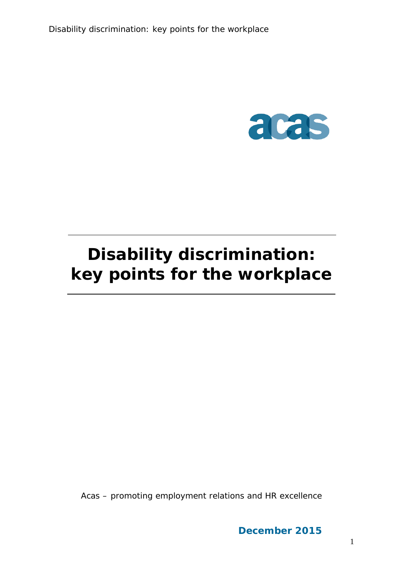

# **Disability discrimination: key points for the workplace**

Acas – promoting employment relations and HR excellence

**December 2015**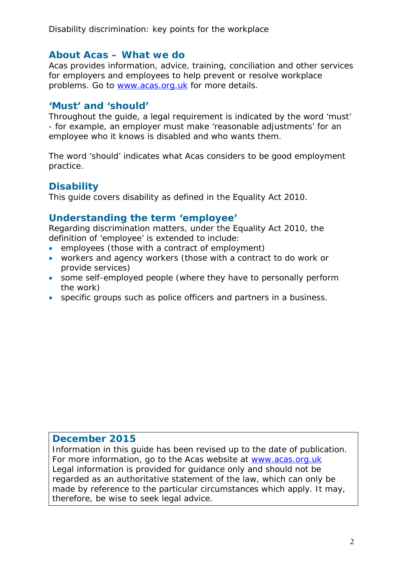### **About Acas – What we do**

Acas provides information, advice, training, conciliation and other services for employers and employees to help prevent or resolve workplace problems. Go to [www.acas.org.uk](http://www.acas.org.uk/) for more details.

### **'Must' and 'should'**

Throughout the guide, a legal requirement is indicated by the word 'must' - for example, an employer must make 'reasonable adjustments' for an employee who it knows is disabled and who wants them.

The word 'should' indicates what Acas considers to be good employment practice.

### **Disability**

This guide covers disability as defined in the Equality Act 2010.

### **Understanding the term 'employee'**

Regarding discrimination matters, under the Equality Act 2010, the definition of 'employee' is extended to include:

- employees (those with a contract of employment)
- workers and agency workers (those with a contract to do work or provide services)
- some self-employed people (where they have to personally perform the work)
- specific groups such as police officers and partners in a business.

#### **December 2015**

Information in this guide has been revised up to the date of publication. For more information, go to the Acas website at [www.acas.org.uk](http://www.acas.org.uk/) Legal information is provided for guidance only and should not be regarded as an authoritative statement of the law, which can only be made by reference to the particular circumstances which apply. It may, therefore, be wise to seek legal advice.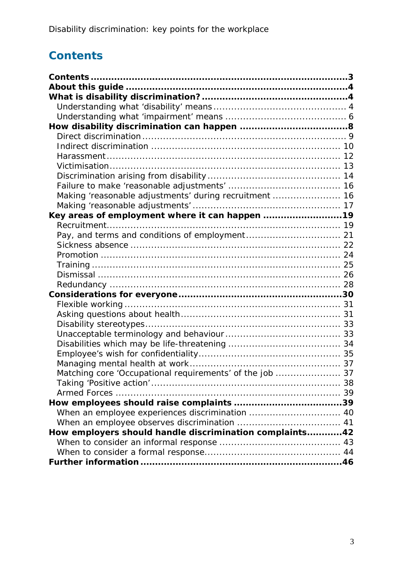# <span id="page-2-0"></span>**Contents**

| Making 'reasonable adjustments' during recruitment  16   |  |
|----------------------------------------------------------|--|
|                                                          |  |
| Key areas of employment where it can happen 19           |  |
|                                                          |  |
|                                                          |  |
|                                                          |  |
|                                                          |  |
|                                                          |  |
|                                                          |  |
|                                                          |  |
|                                                          |  |
|                                                          |  |
|                                                          |  |
|                                                          |  |
|                                                          |  |
|                                                          |  |
|                                                          |  |
|                                                          |  |
| Matching core 'Occupational requirements' of the job  37 |  |
|                                                          |  |
|                                                          |  |
|                                                          |  |
| When an employee experiences discrimination  40          |  |
|                                                          |  |
| How employers should handle discrimination complaints42  |  |
|                                                          |  |
|                                                          |  |
|                                                          |  |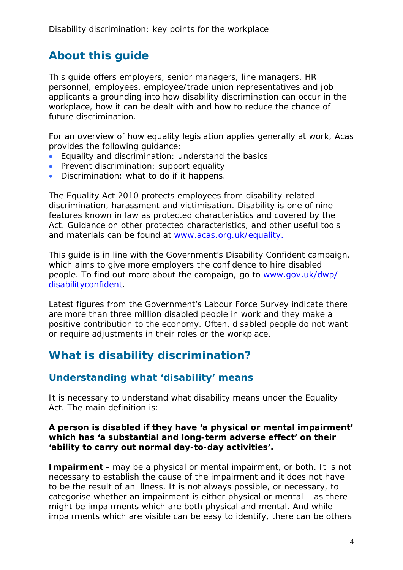# <span id="page-3-0"></span>**About this guide**

This guide offers employers, senior managers, line managers, HR personnel, employees, employee/trade union representatives and job applicants a grounding into how disability discrimination can occur in the workplace, how it can be dealt with and how to reduce the chance of future discrimination.

For an overview of how equality legislation applies generally at work, Acas provides the following guidance:

- Equality and discrimination: understand the basics
- Prevent discrimination: support equality
- Discrimination: what to do if it happens.

The Equality Act 2010 protects employees from disability-related discrimination, harassment and victimisation. Disability is one of nine features known in law as protected characteristics and covered by the Act. Guidance on other protected characteristics, and other useful tools and materials can be found at [www.acas.org.uk/equality](http://www.acas.org.uk/equality).

This guide is in line with the Government's Disability Confident campaign, which aims to give more employers the confidence to hire disabled people. To find out more about the campaign, go to [www.gov.uk/dwp/](www.gov.uk/dwp/disabilityconfident) [disabilityconfident](www.gov.uk/dwp/disabilityconfident).

Latest figures from the Government's Labour Force Survey indicate there are more than three million disabled people in work and they make a positive contribution to the economy. Often, disabled people do not want or require adjustments in their roles or the workplace.

# <span id="page-3-1"></span>**What is disability discrimination?**

### <span id="page-3-2"></span>**Understanding what 'disability' means**

It is necessary to understand what disability means under the Equality Act. The main definition is:

#### **A person is disabled if they have 'a physical or mental impairment' which has 'a substantial and long-term adverse effect' on their 'ability to carry out normal day-to-day activities'.**

**Impairment -** may be a physical or mental impairment, or both. It is not necessary to establish the cause of the impairment and it does not have to be the result of an illness. It is not always possible, or necessary, to categorise whether an impairment is either physical or mental – as there might be impairments which are both physical and mental. And while impairments which are visible can be easy to identify, there can be others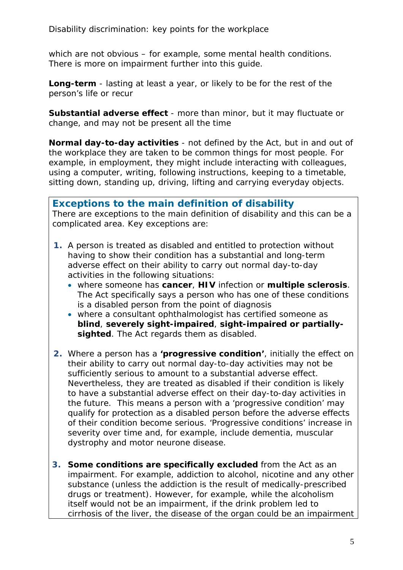which are not obvious – for example, some mental health conditions. There is more on impairment further into this guide.

**Long-term** - lasting at least a year, or likely to be for the rest of the person's life or recur

**Substantial adverse effect** - more than minor, but it may fluctuate or change, and may not be present all the time

**Normal day-to-day activities** - not defined by the Act, but in and out of the workplace they are taken to be common things for most people. For example, in employment, they might include interacting with colleagues, using a computer, writing, following instructions, keeping to a timetable, sitting down, standing up, driving, lifting and carrying everyday objects.

**Exceptions to the main definition of disability** There are exceptions to the main definition of disability and this can be a complicated area. Key exceptions are:

- **1.** A person is treated as disabled and entitled to protection without having to show their condition has a substantial and long-term adverse effect on their ability to carry out normal day-to-day activities in the following situations:
	- where someone has **cancer**, **HIV** infection or **multiple sclerosis**. The Act specifically says a person who has one of these conditions is a disabled person from the point of diagnosis
	- where a consultant ophthalmologist has certified someone as **blind**, **severely sight-impaired**, **sight-impaired or partiallysighted**. The Act regards them as disabled.
- **2.** Where a person has a **'progressive condition'**, initially the effect on their ability to carry out normal day-to-day activities may not be sufficiently serious to amount to a substantial adverse effect. Nevertheless, they are treated as disabled if their condition is likely to have a substantial adverse effect on their day-to-day activities in the future. This means a person with a 'progressive condition' may qualify for protection as a disabled person before the adverse effects of their condition become serious. 'Progressive conditions' increase in severity over time and, for example, include dementia, muscular dystrophy and motor neurone disease.
- **3. Some conditions are specifically excluded** from the Act as an impairment. For example, addiction to alcohol, nicotine and any other substance (unless the addiction is the result of medically-prescribed drugs or treatment). However, for example, while the alcoholism itself would not be an impairment, if the drink problem led to cirrhosis of the liver, the disease of the organ could be an impairment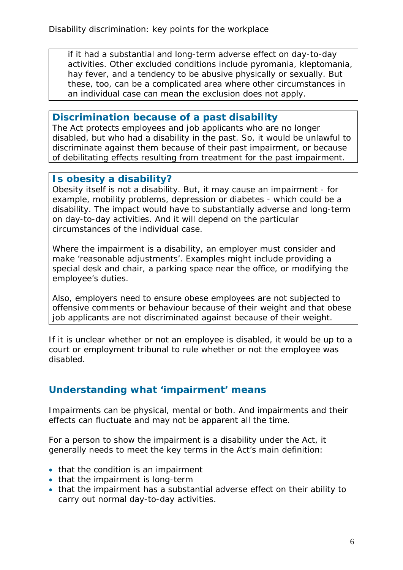if it had a substantial and long-term adverse effect on day-to-day activities. Other excluded conditions include pyromania, kleptomania, hay fever, and a tendency to be abusive physically or sexually. But these, too, can be a complicated area where other circumstances in an individual case can mean the exclusion does not apply.

### **Discrimination because of a past disability**

The Act protects employees and job applicants who are no longer disabled, but who had a disability in the past. So, it would be unlawful to discriminate against them because of their past impairment, or because of debilitating effects resulting from treatment for the past impairment.

### **Is obesity a disability?**

Obesity itself is not a disability. But, it may cause an impairment - for example, mobility problems, depression or diabetes - which could be a disability. The impact would have to substantially adverse and long-term on day-to-day activities. And it will depend on the particular circumstances of the individual case.

Where the impairment is a disability, an employer must consider and make 'reasonable adjustments'. Examples might include providing a special desk and chair, a parking space near the office, or modifying the employee's duties.

Also, employers need to ensure obese employees are not subjected to offensive comments or behaviour because of their weight and that obese job applicants are not discriminated against because of their weight.

If it is unclear whether or not an employee is disabled, it would be up to a court or employment tribunal to rule whether or not the employee was disabled.

### <span id="page-5-0"></span>**Understanding what 'impairment' means**

Impairments can be physical, mental or both. And impairments and their effects can fluctuate and may not be apparent all the time.

For a person to show the impairment is a disability under the Act, it generally needs to meet the key terms in the Act's main definition:

- that the condition is an impairment
- that the impairment is long-term
- that the impairment has a substantial adverse effect on their ability to carry out normal day-to-day activities.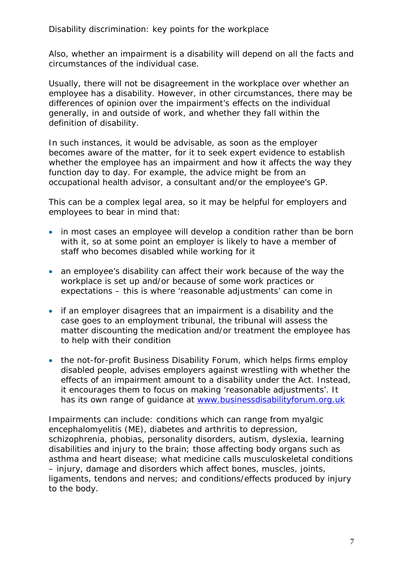Also, whether an impairment is a disability will depend on all the facts and circumstances of the individual case.

Usually, there will not be disagreement in the workplace over whether an employee has a disability. However, in other circumstances, there may be differences of opinion over the impairment's effects on the individual generally, in and outside of work, and whether they fall within the definition of disability.

In such instances, it would be advisable, as soon as the employer becomes aware of the matter, for it to seek expert evidence to establish whether the employee has an impairment and how it affects the way they function day to day. For example, the advice might be from an occupational health advisor, a consultant and/or the employee's GP.

This can be a complex legal area, so it may be helpful for employers and employees to bear in mind that:

- in most cases an employee will develop a condition rather than be born with it, so at some point an employer is likely to have a member of staff who becomes disabled while working for it
- an employee's disability can affect their work because of the way the workplace is set up and/or because of some work practices or expectations – this is where 'reasonable adjustments' can come in
- if an employer disagrees that an impairment is a disability and the case goes to an employment tribunal, the tribunal will assess the matter discounting the medication and/or treatment the employee has to help with their condition
- the not-for-profit Business Disability Forum, which helps firms employ disabled people, advises employers against wrestling with whether the effects of an impairment amount to a disability under the Act. Instead, it encourages them to focus on making 'reasonable adjustments'. It has its own range of guidance at [www.businessdisabilityforum.org.uk](http://www.businessdisabilityforum.org.uk/)

Impairments can include: conditions which can range from myalgic encephalomyelitis (ME), diabetes and arthritis to depression, schizophrenia, phobias, personality disorders, autism, dyslexia, learning disabilities and injury to the brain; those affecting body organs such as asthma and heart disease; what medicine calls musculoskeletal conditions – injury, damage and disorders which affect bones, muscles, joints, ligaments, tendons and nerves; and conditions/effects produced by injury to the body.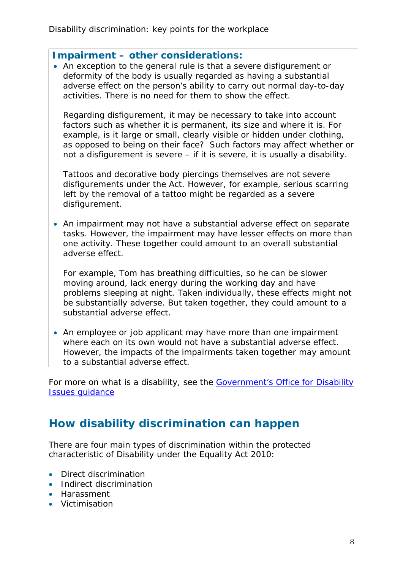#### **Impairment – other considerations:**

• An exception to the general rule is that a severe disfigurement or deformity of the body is usually regarded as having a substantial adverse effect on the person's ability to carry out normal day-to-day activities. There is no need for them to show the effect.

Regarding disfigurement, it may be necessary to take into account factors such as whether it is permanent, its size and where it is. For example, is it large or small, clearly visible or hidden under clothing, as opposed to being on their face? Such factors may affect whether or not a disfigurement is severe – if it is severe, it is usually a disability.

Tattoos and decorative body piercings themselves are not severe disfigurements under the Act. However, for example, serious scarring left by the removal of a tattoo might be regarded as a severe disfigurement.

• An impairment may not have a substantial adverse effect on separate tasks. However, the impairment may have lesser effects on more than one activity. These together could amount to an overall substantial adverse effect.

For example, Tom has breathing difficulties, so he can be slower moving around, lack energy during the working day and have problems sleeping at night. Taken individually, these effects might not be substantially adverse. But taken together, they could amount to a substantial adverse effect.

• An employee or job applicant may have more than one impairment where each on its own would not have a substantial adverse effect. However, the impacts of the impairments taken together may amount to a substantial adverse effect.

For more on what is a disability, see the Government's Office for Disability [Issues guidance](https://www.gov.uk/government/uploads/system/uploads/attachment_data/file/85010/disability-definition.pdf)

# <span id="page-7-0"></span>**How disability discrimination can happen**

There are four main types of discrimination within the protected characteristic of Disability under the Equality Act 2010:

- Direct discrimination
- Indirect discrimination
- Harassment
- Victimisation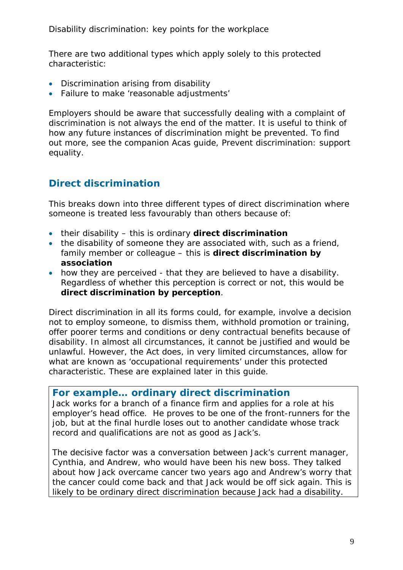There are two additional types which apply solely to this protected characteristic:

- Discrimination arising from disability
- Failure to make 'reasonable adjustments'

Employers should be aware that successfully dealing with a complaint of discrimination is not always the end of the matter. It is useful to think of how any future instances of discrimination might be prevented. To find out more, see the companion Acas guide, Prevent discrimination: support equality.

### <span id="page-8-0"></span>**Direct discrimination**

This breaks down into three different types of direct discrimination where someone is treated less favourably than others because of:

- their disability this is ordinary **direct discrimination**
- the disability of someone they are associated with, such as a friend, family member or colleague – this is **direct discrimination by association**
- how they are perceived that they are believed to have a disability. Regardless of whether this perception is correct or not, this would be **direct discrimination by perception**.

Direct discrimination in all its forms could, for example, involve a decision not to employ someone, to dismiss them, withhold promotion or training, offer poorer terms and conditions or deny contractual benefits because of disability. In almost all circumstances, it cannot be justified and would be unlawful. However, the Act does, in very limited circumstances, allow for what are known as 'occupational requirements' under this protected characteristic. These are explained later in this guide.

#### **For example… ordinary direct discrimination**

Jack works for a branch of a finance firm and applies for a role at his employer's head office. He proves to be one of the front-runners for the job, but at the final hurdle loses out to another candidate whose track record and qualifications are not as good as Jack's.

The decisive factor was a conversation between Jack's current manager, Cynthia, and Andrew, who would have been his new boss. They talked about how Jack overcame cancer two years ago and Andrew's worry that the cancer could come back and that Jack would be off sick again. This is likely to be ordinary direct discrimination because Jack had a disability.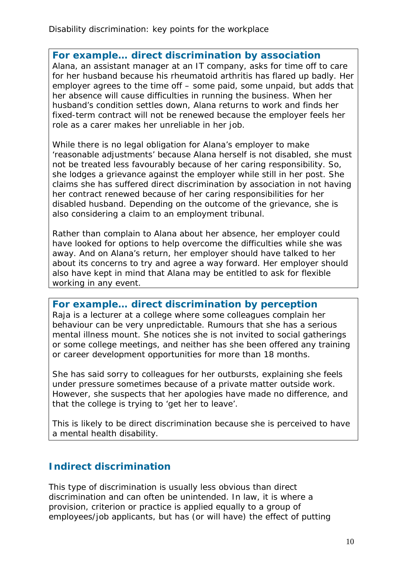#### **For example… direct discrimination by association**

Alana, an assistant manager at an IT company, asks for time off to care for her husband because his rheumatoid arthritis has flared up badly. Her employer agrees to the time off – some paid, some unpaid, but adds that her absence will cause difficulties in running the business. When her husband's condition settles down, Alana returns to work and finds her fixed-term contract will not be renewed because the employer feels her role as a carer makes her unreliable in her job.

While there is no legal obligation for Alana's employer to make 'reasonable adjustments' because Alana herself is not disabled, she must not be treated less favourably because of her caring responsibility. So, she lodges a grievance against the employer while still in her post. She claims she has suffered direct discrimination by association in not having her contract renewed because of her caring responsibilities for her disabled husband. Depending on the outcome of the grievance, she is also considering a claim to an employment tribunal.

Rather than complain to Alana about her absence, her employer could have looked for options to help overcome the difficulties while she was away. And on Alana's return, her employer should have talked to her about its concerns to try and agree a way forward. Her employer should also have kept in mind that Alana may be entitled to ask for flexible working in any event.

**For example… direct discrimination by perception**

Raja is a lecturer at a college where some colleagues complain her behaviour can be very unpredictable. Rumours that she has a serious mental illness mount. She notices she is not invited to social gatherings or some college meetings, and neither has she been offered any training or career development opportunities for more than 18 months.

She has said sorry to colleagues for her outbursts, explaining she feels under pressure sometimes because of a private matter outside work. However, she suspects that her apologies have made no difference, and that the college is trying to 'get her to leave'.

This is likely to be direct discrimination because she is perceived to have a mental health disability.

### <span id="page-9-0"></span>**Indirect discrimination**

This type of discrimination is usually less obvious than direct discrimination and can often be unintended. In law, it is where a provision, criterion or practice is applied equally to a group of employees/job applicants, but has (or will have) the effect of putting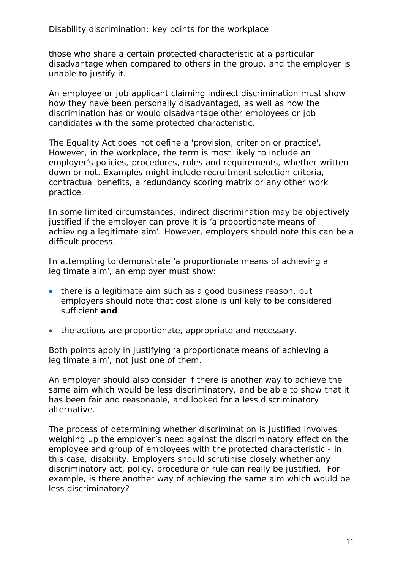those who share a certain protected characteristic at a particular disadvantage when compared to others in the group, and the employer is unable to justify it.

An employee or job applicant claiming indirect discrimination must show how they have been personally disadvantaged, as well as how the discrimination has or would disadvantage other employees or job candidates with the same protected characteristic.

The Equality Act does not define a 'provision, criterion or practice'. However, in the workplace, the term is most likely to include an employer's policies, procedures, rules and requirements, whether written down or not. Examples might include recruitment selection criteria, contractual benefits, a redundancy scoring matrix or any other work practice.

In some limited circumstances, indirect discrimination may be objectively justified if the employer can prove it is 'a proportionate means of achieving a legitimate aim'. However, employers should note this can be a difficult process.

In attempting to demonstrate 'a proportionate means of achieving a legitimate aim', an employer must show:

- there is a legitimate aim such as a good business reason, but employers should note that cost alone is unlikely to be considered sufficient **and**
- the actions are proportionate, appropriate and necessary.

Both points apply in justifying 'a proportionate means of achieving a legitimate aim', not just one of them.

An employer should also consider if there is another way to achieve the same aim which would be less discriminatory, and be able to show that it has been fair and reasonable, and looked for a less discriminatory alternative.

The process of determining whether discrimination is justified involves weighing up the employer's need against the discriminatory effect on the employee and group of employees with the protected characteristic - in this case, disability. Employers should scrutinise closely whether any discriminatory act, policy, procedure or rule can really be justified. For example, is there another way of achieving the same aim which would be less discriminatory?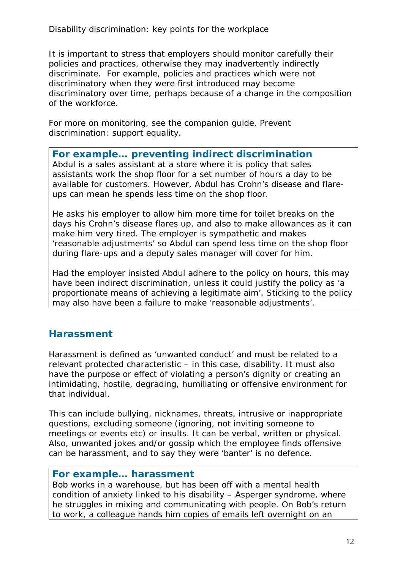It is important to stress that employers should monitor carefully their policies and practices, otherwise they may inadvertently indirectly discriminate. For example, policies and practices which were not discriminatory when they were first introduced may become discriminatory over time, perhaps because of a change in the composition of the workforce.

For more on monitoring, see the companion guide, Prevent discrimination: support equality.

#### **For example… preventing indirect discrimination**

Abdul is a sales assistant at a store where it is policy that sales assistants work the shop floor for a set number of hours a day to be available for customers. However, Abdul has Crohn's disease and flareups can mean he spends less time on the shop floor.

He asks his employer to allow him more time for toilet breaks on the days his Crohn's disease flares up, and also to make allowances as it can make him very tired. The employer is sympathetic and makes 'reasonable adjustments' so Abdul can spend less time on the shop floor during flare-ups and a deputy sales manager will cover for him.

Had the employer insisted Abdul adhere to the policy on hours, this may have been indirect discrimination, unless it could justify the policy as 'a proportionate means of achieving a legitimate aim'. Sticking to the policy may also have been a failure to make 'reasonable adjustments'.

### <span id="page-11-0"></span>**Harassment**

Harassment is defined as 'unwanted conduct' and must be related to a relevant protected characteristic – in this case, disability. It must also have the purpose or effect of violating a person's dignity or creating an intimidating, hostile, degrading, humiliating or offensive environment for that individual.

This can include bullying, nicknames, threats, intrusive or inappropriate questions, excluding someone (ignoring, not inviting someone to meetings or events etc) or insults. It can be verbal, written or physical. Also, unwanted jokes and/or gossip which the employee finds offensive can be harassment, and to say they were 'banter' is no defence.

#### **For example… harassment**

Bob works in a warehouse, but has been off with a mental health condition of anxiety linked to his disability – Asperger syndrome, where he struggles in mixing and communicating with people. On Bob's return to work, a colleague hands him copies of emails left overnight on an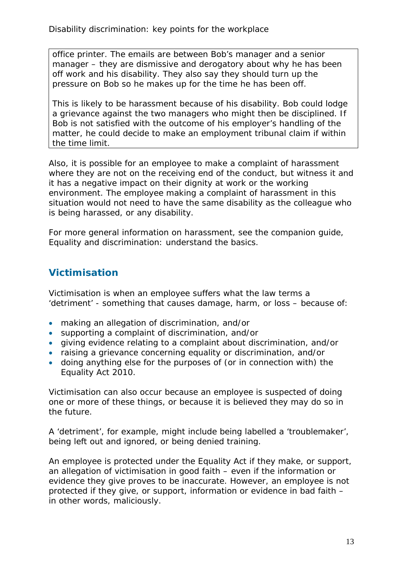office printer. The emails are between Bob's manager and a senior manager – they are dismissive and derogatory about why he has been off work and his disability. They also say they should turn up the pressure on Bob so he makes up for the time he has been off.

This is likely to be harassment because of his disability. Bob could lodge a grievance against the two managers who might then be disciplined. If Bob is not satisfied with the outcome of his employer's handling of the matter, he could decide to make an employment tribunal claim if within the time limit.

Also, it is possible for an employee to make a complaint of harassment where they are not on the receiving end of the conduct, but witness it and it has a negative impact on their dignity at work or the working environment. The employee making a complaint of harassment in this situation would not need to have the same disability as the colleague who is being harassed, or any disability.

For more general information on harassment, see the companion guide, Equality and discrimination: understand the basics*.*

### <span id="page-12-0"></span>**Victimisation**

Victimisation is when an employee suffers what the law terms a 'detriment' - something that causes damage, harm, or loss – because of:

- making an allegation of discrimination, and/or
- supporting a complaint of discrimination, and/or
- giving evidence relating to a complaint about discrimination, and/or
- raising a grievance concerning equality or discrimination, and/or
- doing anything else for the purposes of (or in connection with) the Equality Act 2010.

Victimisation can also occur because an employee is suspected of doing one or more of these things, or because it is believed they may do so in the future.

A 'detriment', for example, might include being labelled a 'troublemaker', being left out and ignored, or being denied training.

An employee is protected under the Equality Act if they make, or support, an allegation of victimisation in good faith – even if the information or evidence they give proves to be inaccurate. However, an employee is not protected if they give, or support, information or evidence in bad faith – in other words, maliciously.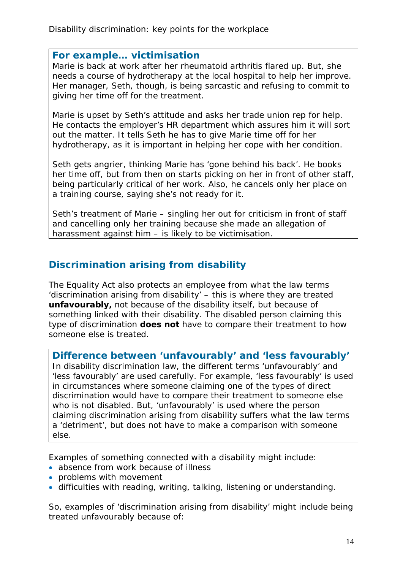#### **For example… victimisation**

Marie is back at work after her rheumatoid arthritis flared up. But, she needs a course of hydrotherapy at the local hospital to help her improve. Her manager, Seth, though, is being sarcastic and refusing to commit to giving her time off for the treatment.

Marie is upset by Seth's attitude and asks her trade union rep for help. He contacts the employer's HR department which assures him it will sort out the matter. It tells Seth he has to give Marie time off for her hydrotherapy, as it is important in helping her cope with her condition.

Seth gets angrier, thinking Marie has 'gone behind his back'. He books her time off, but from then on starts picking on her in front of other staff, being particularly critical of her work. Also, he cancels only her place on a training course, saying she's not ready for it.

Seth's treatment of Marie – singling her out for criticism in front of staff and cancelling only her training because she made an allegation of harassment against him – is likely to be victimisation.

### <span id="page-13-0"></span>**Discrimination arising from disability**

The Equality Act also protects an employee from what the law terms 'discrimination arising from disability' – this is where they are treated **unfavourably,** not because of the disability itself, but because of something linked with their disability. The disabled person claiming this type of discrimination **does not** have to compare their treatment to how someone else is treated.

**Difference between 'unfavourably' and 'less favourably'** In disability discrimination law, the different terms 'unfavourably' and 'less favourably' are used carefully. For example, 'less favourably' is used in circumstances where someone claiming one of the types of direct discrimination would have to compare their treatment to someone else who is not disabled. But, 'unfavourably' is used where the person claiming discrimination arising from disability suffers what the law terms a 'detriment', but does not have to make a comparison with someone else.

Examples of something connected with a disability might include:

- absence from work because of illness
- problems with movement
- difficulties with reading, writing, talking, listening or understanding.

So, examples of 'discrimination arising from disability' might include being treated unfavourably because of: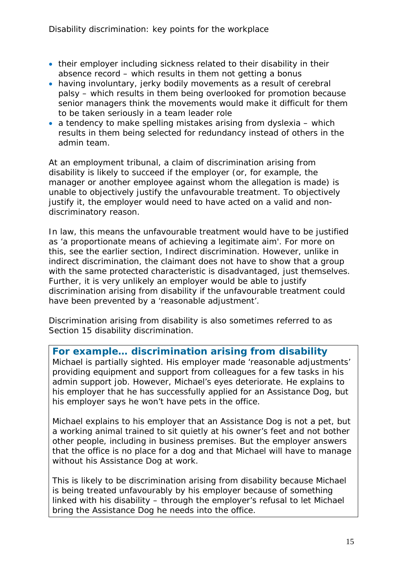- their employer including sickness related to their disability in their absence record – which results in them not getting a bonus
- having involuntary, jerky bodily movements as a result of cerebral palsy – which results in them being overlooked for promotion because senior managers think the movements would make it difficult for them to be taken seriously in a team leader role
- a tendency to make spelling mistakes arising from dyslexia which results in them being selected for redundancy instead of others in the admin team.

At an employment tribunal, a claim of discrimination arising from disability is likely to succeed if the employer (or, for example, the manager or another employee against whom the allegation is made) is unable to objectively justify the unfavourable treatment. To objectively justify it, the employer would need to have acted on a valid and nondiscriminatory reason.

In law, this means the unfavourable treatment would have to be justified as 'a proportionate means of achieving a legitimate aim'. For more on this, see the earlier section, Indirect discrimination. However, unlike in indirect discrimination, the claimant does not have to show that a group with the same protected characteristic is disadvantaged, just themselves. Further, it is very unlikely an employer would be able to justify discrimination arising from disability if the unfavourable treatment could have been prevented by a 'reasonable adjustment'.

Discrimination arising from disability is also sometimes referred to as Section 15 disability discrimination.

**For example… discrimination arising from disability**  Michael is partially sighted. His employer made 'reasonable adjustments' providing equipment and support from colleagues for a few tasks in his admin support job. However, Michael's eyes deteriorate. He explains to his employer that he has successfully applied for an Assistance Dog, but his employer says he won't have pets in the office.

Michael explains to his employer that an Assistance Dog is not a pet, but a working animal trained to sit quietly at his owner's feet and not bother other people, including in business premises. But the employer answers that the office is no place for a dog and that Michael will have to manage without his Assistance Dog at work.

This is likely to be discrimination arising from disability because Michael is being treated unfavourably by his employer because of something linked with his disability – through the employer's refusal to let Michael bring the Assistance Dog he needs into the office.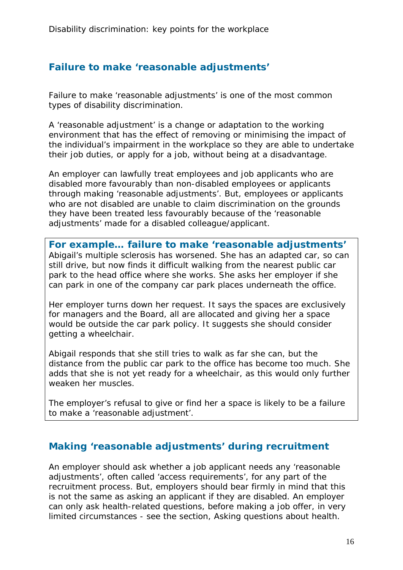### <span id="page-15-0"></span>**Failure to make 'reasonable adjustments'**

Failure to make 'reasonable adjustments' is one of the most common types of disability discrimination.

A 'reasonable adjustment' is a change or adaptation to the working environment that has the effect of removing or minimising the impact of the individual's impairment in the workplace so they are able to undertake their job duties, or apply for a job, without being at a disadvantage.

An employer can lawfully treat employees and job applicants who are disabled more favourably than non-disabled employees or applicants through making 'reasonable adjustments'. But, employees or applicants who are not disabled are unable to claim discrimination on the grounds they have been treated less favourably because of the 'reasonable adjustments' made for a disabled colleague/applicant.

**For example… failure to make 'reasonable adjustments'** Abigail's multiple sclerosis has worsened. She has an adapted car, so can still drive, but now finds it difficult walking from the nearest public car park to the head office where she works. She asks her employer if she can park in one of the company car park places underneath the office.

Her employer turns down her request. It says the spaces are exclusively for managers and the Board, all are allocated and giving her a space would be outside the car park policy. It suggests she should consider getting a wheelchair.

Abigail responds that she still tries to walk as far she can, but the distance from the public car park to the office has become too much. She adds that she is not yet ready for a wheelchair, as this would only further weaken her muscles.

The employer's refusal to give or find her a space is likely to be a failure to make a 'reasonable adjustment'.

### <span id="page-15-1"></span>**Making 'reasonable adjustments' during recruitment**

An employer should ask whether a job applicant needs any 'reasonable adjustments', often called 'access requirements', for any part of the recruitment process. But, employers should bear firmly in mind that this is not the same as asking an applicant if they are disabled. An employer can only ask health-related questions, before making a job offer, in very limited circumstances - see the section, Asking questions about health.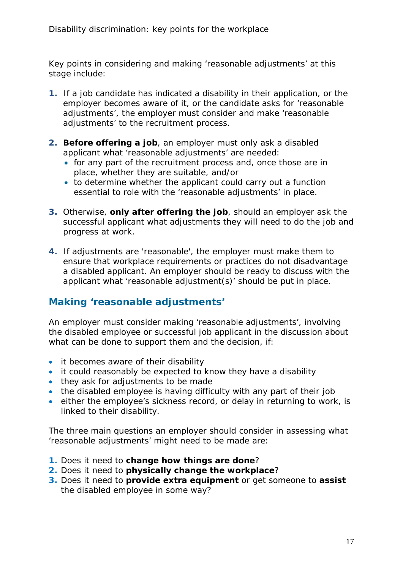Key points in considering and making 'reasonable adjustments' at this stage include:

- **1.** If a job candidate has indicated a disability in their application, or the employer becomes aware of it, or the candidate asks for 'reasonable adjustments', the employer must consider and make 'reasonable adjustments' to the recruitment process.
- **2. Before offering a job**, an employer must only ask a disabled applicant what 'reasonable adjustments' are needed:
	- for any part of the recruitment process and, once those are in place, whether they are suitable, and/or
	- to determine whether the applicant could carry out a function essential to role with the 'reasonable adjustments' in place.
- **3.** Otherwise, **only after offering the job**, should an employer ask the successful applicant what adjustments they will need to do the job and progress at work.
- **4.** If adjustments are 'reasonable', the employer must make them to ensure that workplace requirements or practices do not disadvantage a disabled applicant. An employer should be ready to discuss with the applicant what 'reasonable adjustment(s)' should be put in place.

### <span id="page-16-0"></span>**Making 'reasonable adjustments'**

An employer must consider making 'reasonable adjustments', involving the disabled employee or successful job applicant in the discussion about what can be done to support them and the decision, if:

- it becomes aware of their disability
- it could reasonably be expected to know they have a disability
- they ask for adjustments to be made
- the disabled employee is having difficulty with any part of their job
- either the employee's sickness record, or delay in returning to work, is linked to their disability.

The three main questions an employer should consider in assessing what 'reasonable adjustments' might need to be made are:

- **1.** Does it need to **change how things are done**?
- **2.** Does it need to **physically change the workplace**?
- **3.** Does it need to **provide extra equipment** or get someone to **assist** the disabled employee in some way?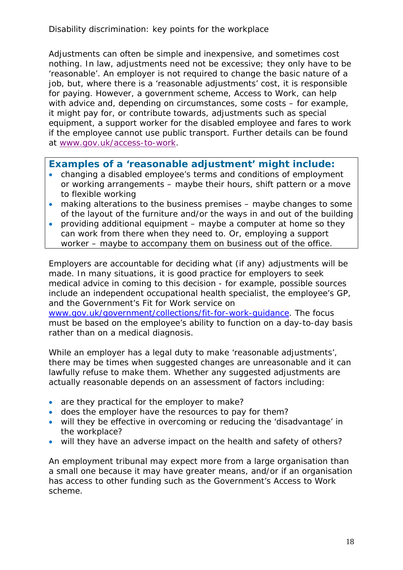Adjustments can often be simple and inexpensive, and sometimes cost nothing. In law, adjustments need not be excessive; they only have to be 'reasonable'. An employer is not required to change the basic nature of a job, but, where there is a 'reasonable adjustments' cost, it is responsible for paying. However, a government scheme, Access to Work, can help with advice and, depending on circumstances, some costs – for example, it might pay for, or contribute towards, adjustments such as special equipment, a support worker for the disabled employee and fares to work if the employee cannot use public transport. Further details can be found at [www.gov.uk/access-to-work.](http://www.gov.uk/access-to-work)

#### **Examples of a 'reasonable adjustment' might include:**

- changing a disabled employee's terms and conditions of employment or working arrangements – maybe their hours, shift pattern or a move to flexible working
- making alterations to the business premises maybe changes to some of the layout of the furniture and/or the ways in and out of the building
- providing additional equipment maybe a computer at home so they can work from there when they need to. Or, employing a support worker – maybe to accompany them on business out of the office.

Employers are accountable for deciding what (if any) adjustments will be made. In many situations, it is good practice for employers to seek medical advice in coming to this decision - for example, possible sources include an independent occupational health specialist, the employee's GP, and the Government's Fit for Work service on

[www.gov.uk/government/collections/fit-for-work-guidance.](http://www.gov.uk/government/collections/fit-for-work-guidance) The focus must be based on the employee's ability to function on a day-to-day basis rather than on a medical diagnosis.

While an employer has a legal duty to make 'reasonable adjustments', there may be times when suggested changes are unreasonable and it can lawfully refuse to make them. Whether any suggested adjustments are actually reasonable depends on an assessment of factors including:

- are they practical for the employer to make?
- does the employer have the resources to pay for them?
- will they be effective in overcoming or reducing the 'disadvantage' in the workplace?
- will they have an adverse impact on the health and safety of others?

An employment tribunal may expect more from a large organisation than a small one because it may have greater means, and/or if an organisation has access to other funding such as the Government's Access to Work scheme.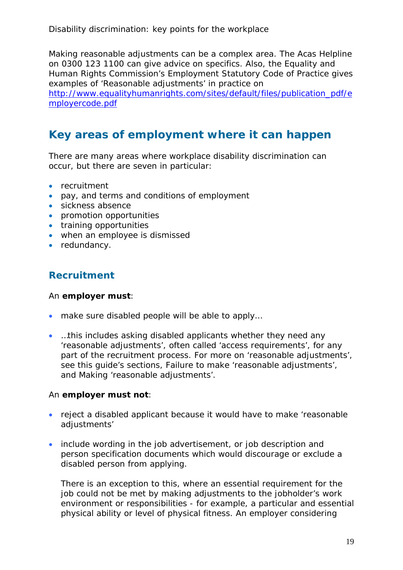Making reasonable adjustments can be a complex area. The Acas Helpline on 0300 123 1100 can give advice on specifics. Also, the Equality and Human Rights Commission's Employment Statutory Code of Practice gives examples of 'Reasonable adjustments' in practice on

[http://www.equalityhumanrights.com/sites/default/files/publication\\_pdf/e](http://www.equalityhumanrights.com/sites/default/files/publication_pdf/employercode.pdf) [mployercode.pdf](http://www.equalityhumanrights.com/sites/default/files/publication_pdf/employercode.pdf)

# <span id="page-18-0"></span>**Key areas of employment where it can happen**

There are many areas where workplace disability discrimination can occur, but there are seven in particular:

- recruitment
- pay, and terms and conditions of employment
- sickness absence
- promotion opportunities
- training opportunities
- when an employee is dismissed
- redundancy.

### <span id="page-18-1"></span>**Recruitment**

#### An **employer must**:

- make sure disabled people will be able to apply...
- …this includes asking disabled applicants whether they need any 'reasonable adjustments', often called 'access requirements', for any part of the recruitment process. For more on 'reasonable adjustments', see this guide's sections, Failure to make 'reasonable adjustments', and Making 'reasonable adjustments'.

#### An **employer must not**:

- reject a disabled applicant because it would have to make 'reasonable adjustments'
- include wording in the job advertisement, or job description and person specification documents which would discourage or exclude a disabled person from applying.

There is an exception to this, where an essential requirement for the job could not be met by making adjustments to the jobholder's work environment or responsibilities - for example, a particular and essential physical ability or level of physical fitness. An employer considering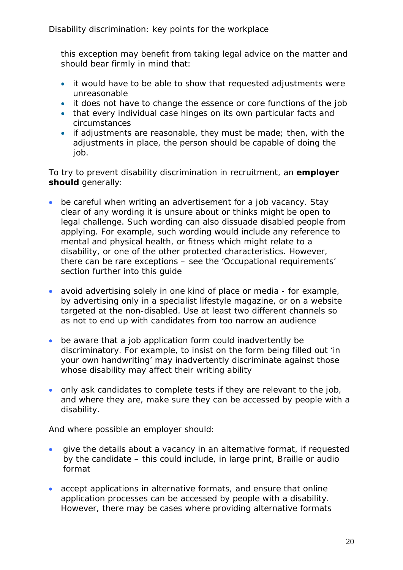this exception may benefit from taking legal advice on the matter and should bear firmly in mind that:

- it would have to be able to show that requested adjustments were unreasonable
- it does not have to change the essence or core functions of the job
- that every individual case hinges on its own particular facts and circumstances
- if adjustments are reasonable, they must be made; then, with the adjustments in place, the person should be capable of doing the job.

To try to prevent disability discrimination in recruitment, an **employer should** generally:

- be careful when writing an advertisement for a job vacancy. Stay clear of any wording it is unsure about or thinks might be open to legal challenge. Such wording can also dissuade disabled people from applying. For example, such wording would include any reference to mental and physical health, or fitness which might relate to a disability, or one of the other protected characteristics. However, there can be rare exceptions – see the 'Occupational requirements' section further into this guide
- avoid advertising solely in one kind of place or media for example, by advertising only in a specialist lifestyle magazine, or on a website targeted at the non-disabled. Use at least two different channels so as not to end up with candidates from too narrow an audience
- be aware that a job application form could inadvertently be discriminatory. For example, to insist on the form being filled out 'in your own handwriting' may inadvertently discriminate against those whose disability may affect their writing ability
- only ask candidates to complete tests if they are relevant to the job, and where they are, make sure they can be accessed by people with a disability.

And where possible an employer should:

- give the details about a vacancy in an alternative format, if requested by the candidate – this could include, in large print, Braille or audio format
- accept applications in alternative formats, and ensure that online application processes can be accessed by people with a disability. However, there may be cases where providing alternative formats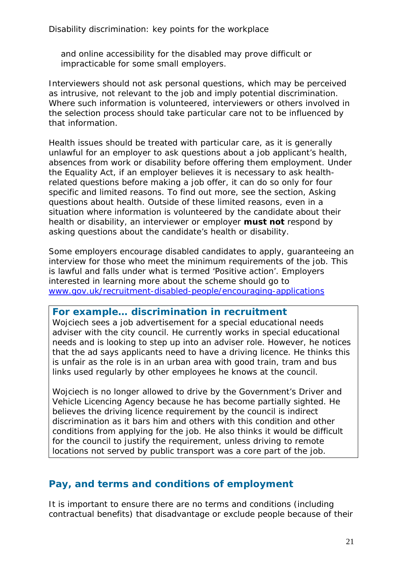and online accessibility for the disabled may prove difficult or impracticable for some small employers.

Interviewers should not ask personal questions, which may be perceived as intrusive, not relevant to the job and imply potential discrimination. Where such information is volunteered, interviewers or others involved in the selection process should take particular care not to be influenced by that information.

Health issues should be treated with particular care, as it is generally unlawful for an employer to ask questions about a job applicant's health, absences from work or disability before offering them employment. Under the Equality Act, if an employer believes it is necessary to ask healthrelated questions before making a job offer, it can do so only for four specific and limited reasons. To find out more, see the section, Asking questions about health. Outside of these limited reasons, even in a situation where information is volunteered by the candidate about their health or disability, an interviewer or employer **must not** respond by asking questions about the candidate's health or disability.

Some employers encourage disabled candidates to apply, guaranteeing an interview for those who meet the minimum requirements of the job. This is lawful and falls under what is termed 'Positive action'. Employers interested in learning more about the scheme should go to [www.gov.uk/recruitment-disabled-people/encouraging-applications](http://www.gov.uk/recruitment-disabled-people/encouraging-applications)

#### **For example… discrimination in recruitment**

Wojciech sees a job advertisement for a special educational needs adviser with the city council. He currently works in special educational needs and is looking to step up into an adviser role. However, he notices that the ad says applicants need to have a driving licence. He thinks this is unfair as the role is in an urban area with good train, tram and bus links used regularly by other employees he knows at the council.

Wojciech is no longer allowed to drive by the Government's Driver and Vehicle Licencing Agency because he has become partially sighted. He believes the driving licence requirement by the council is indirect discrimination as it bars him and others with this condition and other conditions from applying for the job. He also thinks it would be difficult for the council to justify the requirement, unless driving to remote locations not served by public transport was a core part of the job.

### <span id="page-20-0"></span>**Pay, and terms and conditions of employment**

It is important to ensure there are no terms and conditions (including contractual benefits) that disadvantage or exclude people because of their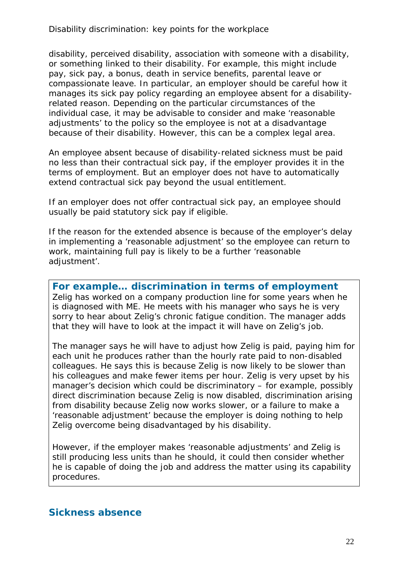disability, perceived disability, association with someone with a disability, or something linked to their disability. For example, this might include pay, sick pay, a bonus, death in service benefits, parental leave or compassionate leave. In particular, an employer should be careful how it manages its sick pay policy regarding an employee absent for a disabilityrelated reason. Depending on the particular circumstances of the individual case, it may be advisable to consider and make 'reasonable adjustments' to the policy so the employee is not at a disadvantage because of their disability. However, this can be a complex legal area.

An employee absent because of disability-related sickness must be paid no less than their contractual sick pay, if the employer provides it in the terms of employment. But an employer does not have to automatically extend contractual sick pay beyond the usual entitlement.

If an employer does not offer contractual sick pay, an employee should usually be paid statutory sick pay if eligible.

If the reason for the extended absence is because of the employer's delay in implementing a 'reasonable adjustment' so the employee can return to work, maintaining full pay is likely to be a further 'reasonable adjustment'.

#### **For example… discrimination in terms of employment**

Zelig has worked on a company production line for some years when he is diagnosed with ME. He meets with his manager who says he is very sorry to hear about Zelig's chronic fatigue condition. The manager adds that they will have to look at the impact it will have on Zelig's job.

The manager says he will have to adjust how Zelig is paid, paying him for each unit he produces rather than the hourly rate paid to non-disabled colleagues. He says this is because Zelig is now likely to be slower than his colleagues and make fewer items per hour. Zelig is very upset by his manager's decision which could be discriminatory – for example, possibly direct discrimination because Zelig is now disabled, discrimination arising from disability because Zelig now works slower, or a failure to make a 'reasonable adjustment' because the employer is doing nothing to help Zelig overcome being disadvantaged by his disability.

However, if the employer makes 'reasonable adjustments' and Zelig is still producing less units than he should, it could then consider whether he is capable of doing the job and address the matter using its capability procedures.

#### <span id="page-21-0"></span>**Sickness absence**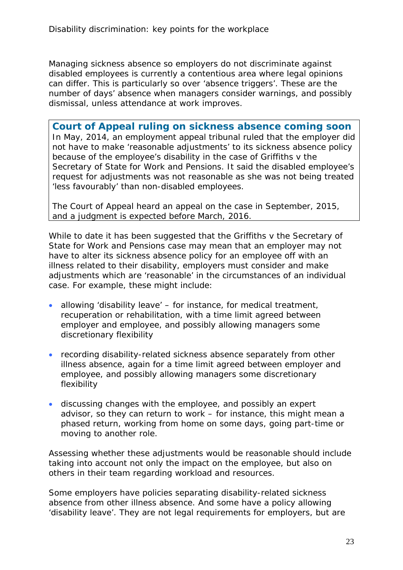Managing sickness absence so employers do not discriminate against disabled employees is currently a contentious area where legal opinions can differ. This is particularly so over 'absence triggers'. These are the number of days' absence when managers consider warnings, and possibly dismissal, unless attendance at work improves.

**Court of Appeal ruling on sickness absence coming soon** In May, 2014, an employment appeal tribunal ruled that the employer did not have to make 'reasonable adjustments' to its sickness absence policy because of the employee's disability in the case of Griffiths v the Secretary of State for Work and Pensions. It said the disabled employee's request for adjustments was not reasonable as she was not being treated 'less favourably' than non-disabled employees.

The Court of Appeal heard an appeal on the case in September, 2015, and a judgment is expected before March, 2016.

While to date it has been suggested that the Griffiths v the Secretary of State for Work and Pensions case may mean that an employer may not have to alter its sickness absence policy for an employee off with an illness related to their disability, employers must consider and make adjustments which are 'reasonable' in the circumstances of an individual case. For example, these might include:

- allowing 'disability leave' for instance, for medical treatment, recuperation or rehabilitation, with a time limit agreed between employer and employee, and possibly allowing managers some discretionary flexibility
- recording disability-related sickness absence separately from other illness absence, again for a time limit agreed between employer and employee, and possibly allowing managers some discretionary flexibility
- discussing changes with the employee, and possibly an expert advisor, so they can return to work – for instance, this might mean a phased return, working from home on some days, going part-time or moving to another role.

Assessing whether these adjustments would be reasonable should include taking into account not only the impact on the employee, but also on others in their team regarding workload and resources.

Some employers have policies separating disability-related sickness absence from other illness absence. And some have a policy allowing 'disability leave'. They are not legal requirements for employers, but are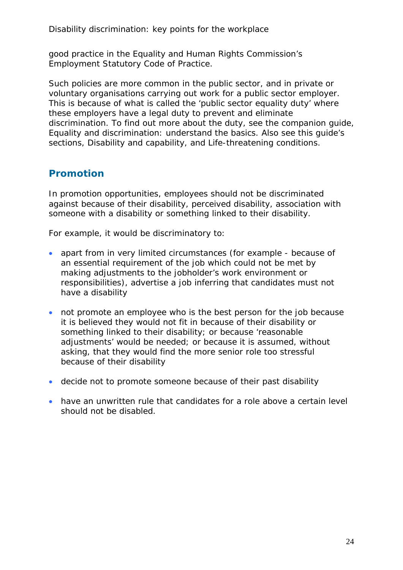good practice in the Equality and Human Rights Commission's Employment Statutory Code of Practice.

Such policies are more common in the public sector, and in private or voluntary organisations carrying out work for a public sector employer. This is because of what is called the 'public sector equality duty' where these employers have a legal duty to prevent and eliminate discrimination. To find out more about the duty, see the companion guide, Equality and discrimination: understand the basics. Also see this guide's sections, Disability and capability, and Life-threatening conditions.

### <span id="page-23-0"></span>**Promotion**

In promotion opportunities, employees should not be discriminated against because of their disability, perceived disability, association with someone with a disability or something linked to their disability.

For example, it would be discriminatory to:

- apart from in very limited circumstances (for example because of an essential requirement of the job which could not be met by making adjustments to the jobholder's work environment or responsibilities), advertise a job inferring that candidates must not have a disability
- not promote an employee who is the best person for the job because it is believed they would not fit in because of their disability or something linked to their disability; or because 'reasonable adjustments' would be needed; or because it is assumed, without asking, that they would find the more senior role too stressful because of their disability
- decide not to promote someone because of their past disability
- have an unwritten rule that candidates for a role above a certain level should not be disabled.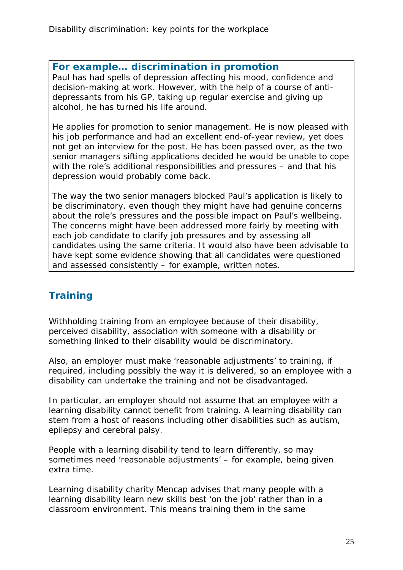#### **For example… discrimination in promotion**

Paul has had spells of depression affecting his mood, confidence and decision-making at work. However, with the help of a course of antidepressants from his GP, taking up regular exercise and giving up alcohol, he has turned his life around.

He applies for promotion to senior management. He is now pleased with his job performance and had an excellent end-of-year review, yet does not get an interview for the post. He has been passed over, as the two senior managers sifting applications decided he would be unable to cope with the role's additional responsibilities and pressures – and that his depression would probably come back.

The way the two senior managers blocked Paul's application is likely to be discriminatory, even though they might have had genuine concerns about the role's pressures and the possible impact on Paul's wellbeing. The concerns might have been addressed more fairly by meeting with each job candidate to clarify job pressures and by assessing all candidates using the same criteria. It would also have been advisable to have kept some evidence showing that all candidates were questioned and assessed consistently – for example, written notes.

## <span id="page-24-0"></span>**Training**

Withholding training from an employee because of their disability, perceived disability, association with someone with a disability or something linked to their disability would be discriminatory.

Also, an employer must make 'reasonable adjustments' to training, if required, including possibly the way it is delivered, so an employee with a disability can undertake the training and not be disadvantaged.

In particular, an employer should not assume that an employee with a learning disability cannot benefit from training. A learning disability can stem from a host of reasons including other disabilities such as autism, epilepsy and cerebral palsy.

People with a learning disability tend to learn differently, so may sometimes need 'reasonable adjustments' – for example, being given extra time.

Learning disability charity Mencap advises that many people with a learning disability learn new skills best 'on the job' rather than in a classroom environment. This means training them in the same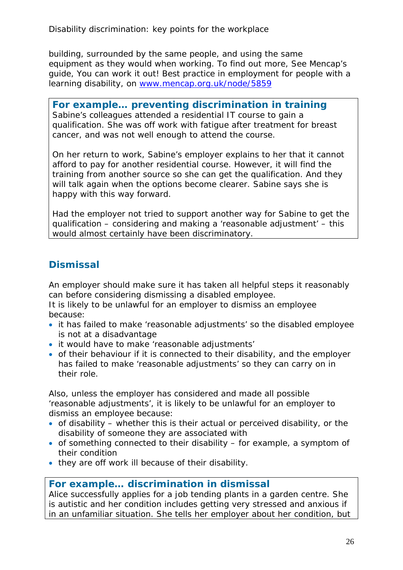building, surrounded by the same people, and using the same equipment as they would when working. To find out more, See Mencap's guide, You can work it out! Best practice in employment for people with a learning disability, on [www.mencap.org.uk/node/5859](http://www.mencap.org.uk/node/5859)

#### **For example… preventing discrimination in training**

Sabine's colleagues attended a residential IT course to gain a qualification. She was off work with fatigue after treatment for breast cancer, and was not well enough to attend the course.

On her return to work, Sabine's employer explains to her that it cannot afford to pay for another residential course. However, it will find the training from another source so she can get the qualification. And they will talk again when the options become clearer. Sabine says she is happy with this way forward.

Had the employer not tried to support another way for Sabine to get the qualification – considering and making a 'reasonable adjustment' – this would almost certainly have been discriminatory.

### <span id="page-25-0"></span>**Dismissal**

An employer should make sure it has taken all helpful steps it reasonably can before considering dismissing a disabled employee.

It is likely to be unlawful for an employer to dismiss an employee because:

- it has failed to make 'reasonable adjustments' so the disabled employee is not at a disadvantage
- it would have to make 'reasonable adjustments'
- of their behaviour if it is connected to their disability, and the employer has failed to make 'reasonable adjustments' so they can carry on in their role.

Also, unless the employer has considered and made all possible 'reasonable adjustments', it is likely to be unlawful for an employer to dismiss an employee because:

- of disability whether this is their actual or perceived disability, or the disability of someone they are associated with
- of something connected to their disability for example, a symptom of their condition
- they are off work ill because of their disability.

#### **For example… discrimination in dismissal**

Alice successfully applies for a job tending plants in a garden centre. She is autistic and her condition includes getting very stressed and anxious if in an unfamiliar situation. She tells her employer about her condition, but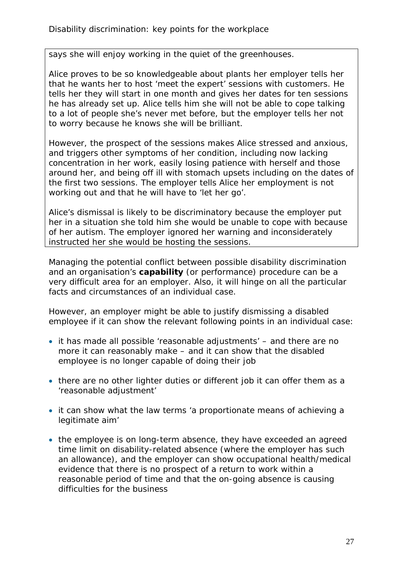says she will enjoy working in the quiet of the greenhouses.

Alice proves to be so knowledgeable about plants her employer tells her that he wants her to host 'meet the expert' sessions with customers. He tells her they will start in one month and gives her dates for ten sessions he has already set up. Alice tells him she will not be able to cope talking to a lot of people she's never met before, but the employer tells her not to worry because he knows she will be brilliant.

However, the prospect of the sessions makes Alice stressed and anxious, and triggers other symptoms of her condition, including now lacking concentration in her work, easily losing patience with herself and those around her, and being off ill with stomach upsets including on the dates of the first two sessions. The employer tells Alice her employment is not working out and that he will have to 'let her go'.

Alice's dismissal is likely to be discriminatory because the employer put her in a situation she told him she would be unable to cope with because of her autism. The employer ignored her warning and inconsiderately instructed her she would be hosting the sessions.

Managing the potential conflict between possible disability discrimination and an organisation's **capability** (or performance) procedure can be a very difficult area for an employer. Also, it will hinge on all the particular facts and circumstances of an individual case.

However, an employer might be able to justify dismissing a disabled employee if it can show the relevant following points in an individual case:

- it has made all possible 'reasonable adjustments' and there are no more it can reasonably make – and it can show that the disabled employee is no longer capable of doing their job
- there are no other lighter duties or different job it can offer them as a 'reasonable adjustment'
- it can show what the law terms 'a proportionate means of achieving a legitimate aim'
- the employee is on long-term absence, they have exceeded an agreed time limit on disability-related absence (where the employer has such an allowance), and the employer can show occupational health/medical evidence that there is no prospect of a return to work within a reasonable period of time and that the on-going absence is causing difficulties for the business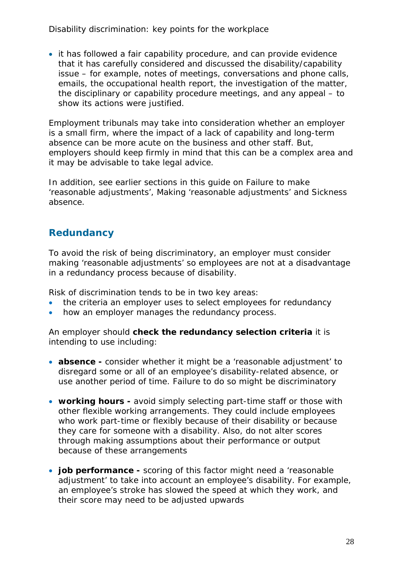• it has followed a fair capability procedure, and can provide evidence that it has carefully considered and discussed the disability/capability issue – for example, notes of meetings, conversations and phone calls, emails, the occupational health report, the investigation of the matter, the disciplinary or capability procedure meetings, and any appeal – to show its actions were justified.

Employment tribunals may take into consideration whether an employer is a small firm, where the impact of a lack of capability and long-term absence can be more acute on the business and other staff. But, employers should keep firmly in mind that this can be a complex area and it may be advisable to take legal advice.

In addition, see earlier sections in this guide on Failure to make 'reasonable adjustments', Making 'reasonable adjustments' and Sickness absence.

### <span id="page-27-0"></span>**Redundancy**

To avoid the risk of being discriminatory, an employer must consider making 'reasonable adjustments' so employees are not at a disadvantage in a redundancy process because of disability.

Risk of discrimination tends to be in two key areas:

- the criteria an employer uses to select employees for redundancy
- how an employer manages the redundancy process.

An employer should **check the redundancy selection criteria** it is intending to use including:

- **absence** consider whether it might be a 'reasonable adjustment' to disregard some or all of an employee's disability-related absence, or use another period of time. Failure to do so might be discriminatory
- **working hours** avoid simply selecting part-time staff or those with other flexible working arrangements. They could include employees who work part-time or flexibly because of their disability or because they care for someone with a disability. Also, do not alter scores through making assumptions about their performance or output because of these arrangements
- **job performance -** scoring of this factor might need a 'reasonable adjustment' to take into account an employee's disability. For example, an employee's stroke has slowed the speed at which they work, and their score may need to be adjusted upwards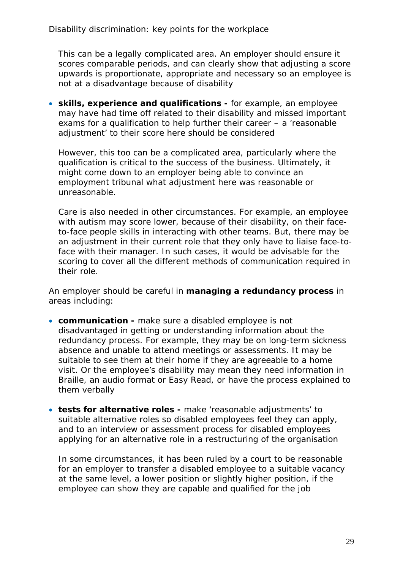This can be a legally complicated area. An employer should ensure it scores comparable periods, and can clearly show that adjusting a score upwards is proportionate, appropriate and necessary so an employee is not at a disadvantage because of disability

• **skills, experience and qualifications -** for example, an employee may have had time off related to their disability and missed important exams for a qualification to help further their career – a 'reasonable adjustment' to their score here should be considered

However, this too can be a complicated area, particularly where the qualification is critical to the success of the business. Ultimately, it might come down to an employer being able to convince an employment tribunal what adjustment here was reasonable or unreasonable.

Care is also needed in other circumstances. For example, an employee with autism may score lower, because of their disability, on their faceto-face people skills in interacting with other teams. But, there may be an adjustment in their current role that they only have to liaise face-toface with their manager. In such cases, it would be advisable for the scoring to cover all the different methods of communication required in their role.

An employer should be careful in **managing a redundancy process** in areas including:

- **communication -** make sure a disabled employee is not disadvantaged in getting or understanding information about the redundancy process. For example, they may be on long-term sickness absence and unable to attend meetings or assessments. It may be suitable to see them at their home if they are agreeable to a home visit. Or the employee's disability may mean they need information in Braille, an audio format or Easy Read, or have the process explained to them verbally
- **tests for alternative roles -** make 'reasonable adjustments' to suitable alternative roles so disabled employees feel they can apply, and to an interview or assessment process for disabled employees applying for an alternative role in a restructuring of the organisation

In some circumstances, it has been ruled by a court to be reasonable for an employer to transfer a disabled employee to a suitable vacancy at the same level, a lower position or slightly higher position, if the employee can show they are capable and qualified for the job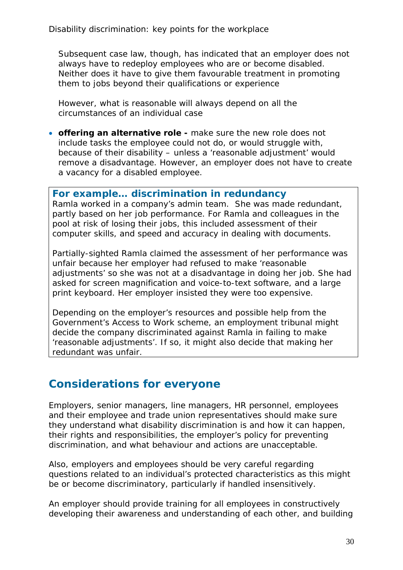Subsequent case law, though, has indicated that an employer does not always have to redeploy employees who are or become disabled. Neither does it have to give them favourable treatment in promoting them to jobs beyond their qualifications or experience

However, what is reasonable will always depend on all the circumstances of an individual case

• **offering an alternative role -** make sure the new role does not include tasks the employee could not do, or would struggle with, because of their disability – unless a 'reasonable adjustment' would remove a disadvantage. However, an employer does not have to create a vacancy for a disabled employee.

#### **For example… discrimination in redundancy**

Ramla worked in a company's admin team. She was made redundant, partly based on her job performance. For Ramla and colleagues in the pool at risk of losing their jobs, this included assessment of their computer skills, and speed and accuracy in dealing with documents.

Partially-sighted Ramla claimed the assessment of her performance was unfair because her employer had refused to make 'reasonable adjustments' so she was not at a disadvantage in doing her job. She had asked for screen magnification and voice-to-text software, and a large print keyboard. Her employer insisted they were too expensive.

Depending on the employer's resources and possible help from the Government's Access to Work scheme, an employment tribunal might decide the company discriminated against Ramla in failing to make 'reasonable adjustments'. If so, it might also decide that making her redundant was unfair.

# <span id="page-29-0"></span>**Considerations for everyone**

Employers, senior managers, line managers, HR personnel, employees and their employee and trade union representatives should make sure they understand what disability discrimination is and how it can happen, their rights and responsibilities, the employer's policy for preventing discrimination, and what behaviour and actions are unacceptable.

Also, employers and employees should be very careful regarding questions related to an individual's protected characteristics as this might be or become discriminatory, particularly if handled insensitively.

An employer should provide training for all employees in constructively developing their awareness and understanding of each other, and building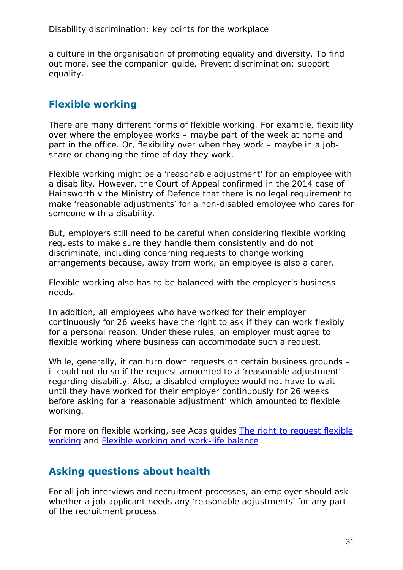a culture in the organisation of promoting equality and diversity. To find out more, see the companion guide, Prevent discrimination: support equality.

### <span id="page-30-0"></span>**Flexible working**

There are many different forms of flexible working. For example, flexibility over where the employee works – maybe part of the week at home and part in the office. Or, flexibility over when they work – maybe in a jobshare or changing the time of day they work.

Flexible working might be a 'reasonable adjustment' for an employee with a disability. However, the Court of Appeal confirmed in the 2014 case of Hainsworth v the Ministry of Defence that there is no legal requirement to make 'reasonable adjustments' for a non-disabled employee who cares for someone with a disability.

But, employers still need to be careful when considering flexible working requests to make sure they handle them consistently and do not discriminate, including concerning requests to change working arrangements because, away from work, an employee is also a carer.

Flexible working also has to be balanced with the employer's business needs.

In addition, all employees who have worked for their employer continuously for 26 weeks have the right to ask if they can work flexibly for a personal reason. Under these rules, an employer must agree to flexible working where business can accommodate such a request.

While, generally, it can turn down requests on certain business grounds – it could not do so if the request amounted to a 'reasonable adjustment' regarding disability. Also, a disabled employee would not have to wait until they have worked for their employer continuously for 26 weeks before asking for a 'reasonable adjustment' which amounted to flexible working.

For more on flexible working, see Acas guides The right to request flexible [working](http://www.acas.org.uk/media/pdf/1/a/The-right-to-request-flexible-working-the-Acas-guide.pdf) and [Flexible working and work-life balance](http://www.acas.org.uk/media/pdf/j/m/Flexible-working-and-work-life-balance.pdf) 

### <span id="page-30-1"></span>**Asking questions about health**

For all job interviews and recruitment processes, an employer should ask whether a job applicant needs any 'reasonable adjustments' for any part of the recruitment process.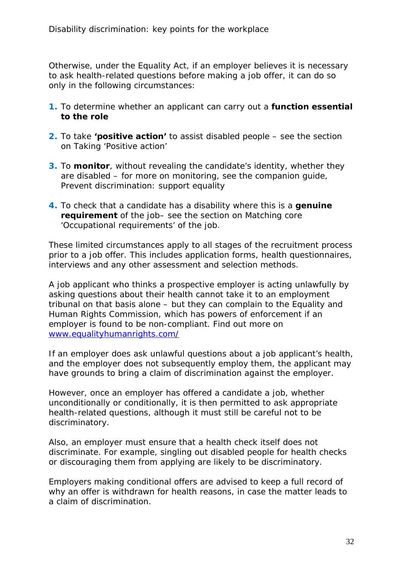Otherwise, under the Equality Act, if an employer believes it is necessary to ask health-related questions before making a job offer, it can do so only in the following circumstances:

- **1.** To determine whether an applicant can carry out a **function essential to the role**
- **2.** To take **'positive action'** to assist disabled people see the section on Taking 'Positive action'
- **3.** To **monitor**, without revealing the candidate's identity, whether they are disabled – for more on monitoring, see the companion guide, Prevent discrimination: support equality
- **4.** To check that a candidate has a disability where this is a **genuine requirement** of the job– see the section on Matching core 'Occupational requirements' of the job.

These limited circumstances apply to all stages of the recruitment process prior to a job offer. This includes application forms, health questionnaires, interviews and any other assessment and selection methods.

A job applicant who thinks a prospective employer is acting unlawfully by asking questions about their health cannot take it to an employment tribunal on that basis alone – but they can complain to the Equality and Human Rights Commission, which has powers of enforcement if an employer is found to be non-compliant. Find out more on [www.equalityhumanrights.com/](http://www.equalityhumanrights.com/)

If an employer does ask unlawful questions about a job applicant's health, and the employer does not subsequently employ them, the applicant may have grounds to bring a claim of discrimination against the employer.

However, once an employer has offered a candidate a job, whether unconditionally or conditionally, it is then permitted to ask appropriate health-related questions, although it must still be careful not to be discriminatory.

Also, an employer must ensure that a health check itself does not discriminate. For example, singling out disabled people for health checks or discouraging them from applying are likely to be discriminatory.

Employers making conditional offers are advised to keep a full record of why an offer is withdrawn for health reasons, in case the matter leads to a claim of discrimination.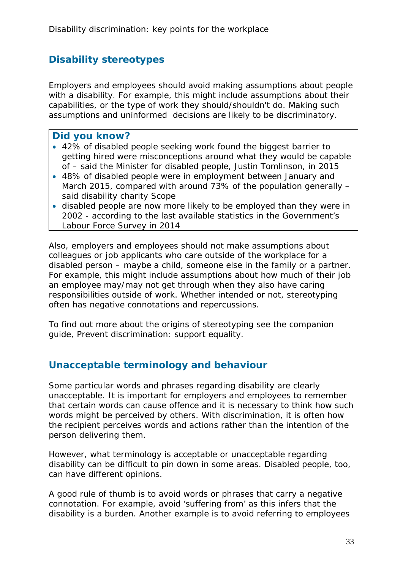### <span id="page-32-0"></span>**Disability stereotypes**

Employers and employees should avoid making assumptions about people with a disability. For example, this might include assumptions about their capabilities, or the type of work they should/shouldn't do. Making such assumptions and uninformed decisions are likely to be discriminatory.

#### **Did you know?**

- 42% of disabled people seeking work found the biggest barrier to getting hired were misconceptions around what they would be capable of – said the Minister for disabled people, Justin Tomlinson, in 2015
- 48% of disabled people were in employment between January and March 2015, compared with around 73% of the population generally – said disability charity Scope
- disabled people are now more likely to be employed than they were in 2002 - according to the last available statistics in the Government's Labour Force Survey in 2014

Also, employers and employees should not make assumptions about colleagues or job applicants who care outside of the workplace for a disabled person – maybe a child, someone else in the family or a partner. For example, this might include assumptions about how much of their job an employee may/may not get through when they also have caring responsibilities outside of work. Whether intended or not, stereotyping often has negative connotations and repercussions.

To find out more about the origins of stereotyping see the companion guide, Prevent discrimination: support equality.

### <span id="page-32-1"></span>**Unacceptable terminology and behaviour**

Some particular words and phrases regarding disability are clearly unacceptable. It is important for employers and employees to remember that certain words can cause offence and it is necessary to think how such words might be perceived by others. With discrimination, it is often how the recipient perceives words and actions rather than the intention of the person delivering them.

However, what terminology is acceptable or unacceptable regarding disability can be difficult to pin down in some areas. Disabled people, too, can have different opinions.

A good rule of thumb is to avoid words or phrases that carry a negative connotation. For example, avoid 'suffering from' as this infers that the disability is a burden. Another example is to avoid referring to employees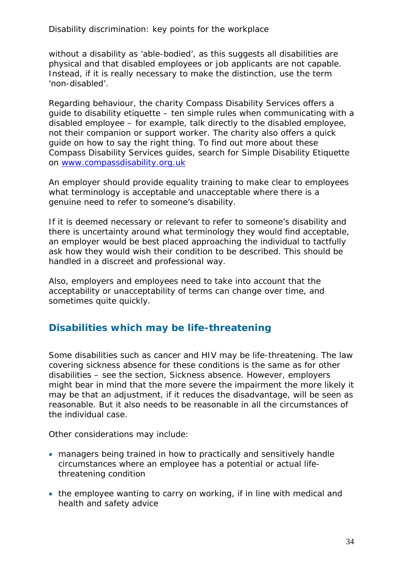without a disability as 'able-bodied', as this suggests all disabilities are physical and that disabled employees or job applicants are not capable. Instead, if it is really necessary to make the distinction, use the term 'non-disabled'.

Regarding behaviour, the charity Compass Disability Services offers a guide to disability etiquette – ten simple rules when communicating with a disabled employee – for example, talk directly to the disabled employee, not their companion or support worker. The charity also offers a quick guide on how to say the right thing. To find out more about these Compass Disability Services guides, search for Simple Disability Etiquette on [www.compassdisability.org.uk](http://www.compassdisability.org.uk/) 

An employer should provide equality training to make clear to employees what terminology is acceptable and unacceptable where there is a genuine need to refer to someone's disability.

If it is deemed necessary or relevant to refer to someone's disability and there is uncertainty around what terminology they would find acceptable, an employer would be best placed approaching the individual to tactfully ask how they would wish their condition to be described. This should be handled in a discreet and professional way.

Also, employers and employees need to take into account that the acceptability or unacceptability of terms can change over time, and sometimes quite quickly.

### <span id="page-33-0"></span>**Disabilities which may be life-threatening**

Some disabilities such as cancer and HIV may be life-threatening. The law covering sickness absence for these conditions is the same as for other disabilities – see the section, Sickness absence. However, employers might bear in mind that the more severe the impairment the more likely it may be that an adjustment, if it reduces the disadvantage, will be seen as reasonable. But it also needs to be reasonable in all the circumstances of the individual case.

Other considerations may include:

- managers being trained in how to practically and sensitively handle circumstances where an employee has a potential or actual lifethreatening condition
- the employee wanting to carry on working, if in line with medical and health and safety advice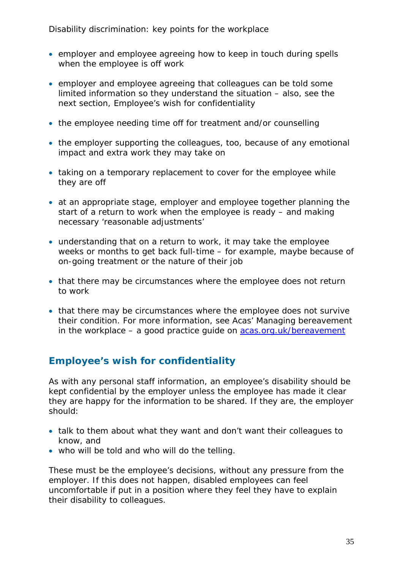- employer and employee agreeing how to keep in touch during spells when the employee is off work
- employer and employee agreeing that colleagues can be told some limited information so they understand the situation – also, see the next section, Employee's wish for confidentiality
- the employee needing time off for treatment and/or counselling
- the employer supporting the colleagues, too, because of any emotional impact and extra work they may take on
- taking on a temporary replacement to cover for the employee while they are off
- at an appropriate stage, employer and employee together planning the start of a return to work when the employee is ready – and making necessary 'reasonable adjustments'
- understanding that on a return to work, it may take the employee weeks or months to get back full-time – for example, maybe because of on-going treatment or the nature of their job
- that there may be circumstances where the employee does not return to work
- that there may be circumstances where the employee does not survive their condition. For more information, see Acas' Managing bereavement in the workplace  $-$  a good practice guide on  $acas.org.uk/bereavement$

### <span id="page-34-0"></span>**Employee's wish for confidentiality**

As with any personal staff information, an employee's disability should be kept confidential by the employer unless the employee has made it clear they are happy for the information to be shared. If they are, the employer should:

- talk to them about what they want and don't want their colleagues to know, and
- who will be told and who will do the telling.

These must be the employee's decisions, without any pressure from the employer. If this does not happen, disabled employees can feel uncomfortable if put in a position where they feel they have to explain their disability to colleagues.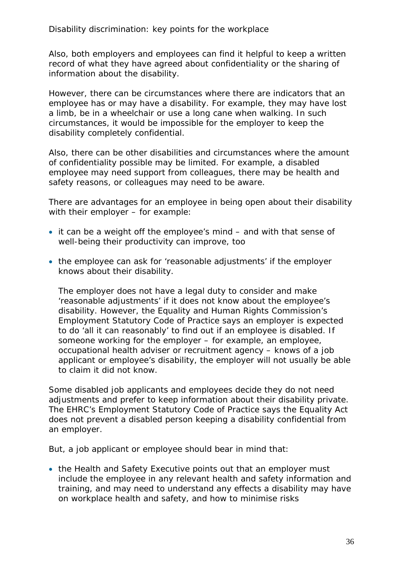Also, both employers and employees can find it helpful to keep a written record of what they have agreed about confidentiality or the sharing of information about the disability.

However, there can be circumstances where there are indicators that an employee has or may have a disability. For example, they may have lost a limb, be in a wheelchair or use a long cane when walking. In such circumstances, it would be impossible for the employer to keep the disability completely confidential.

Also, there can be other disabilities and circumstances where the amount of confidentiality possible may be limited. For example, a disabled employee may need support from colleagues, there may be health and safety reasons, or colleagues may need to be aware.

There are advantages for an employee in being open about their disability with their employer – for example:

- it can be a weight off the employee's mind and with that sense of well-being their productivity can improve, too
- the employee can ask for 'reasonable adjustments' if the employer knows about their disability.

The employer does not have a legal duty to consider and make 'reasonable adjustments' if it does not know about the employee's disability. However, the Equality and Human Rights Commission's Employment Statutory Code of Practice says an employer is expected to do 'all it can reasonably' to find out if an employee is disabled. If someone working for the employer – for example, an employee, occupational health adviser or recruitment agency – knows of a job applicant or employee's disability, the employer will not usually be able to claim it did not know.

Some disabled job applicants and employees decide they do not need adjustments and prefer to keep information about their disability private. The EHRC's Employment Statutory Code of Practice says the Equality Act does not prevent a disabled person keeping a disability confidential from an employer.

But, a job applicant or employee should bear in mind that:

• the Health and Safety Executive points out that an employer must include the employee in any relevant health and safety information and training, and may need to understand any effects a disability may have on workplace health and safety, and how to minimise risks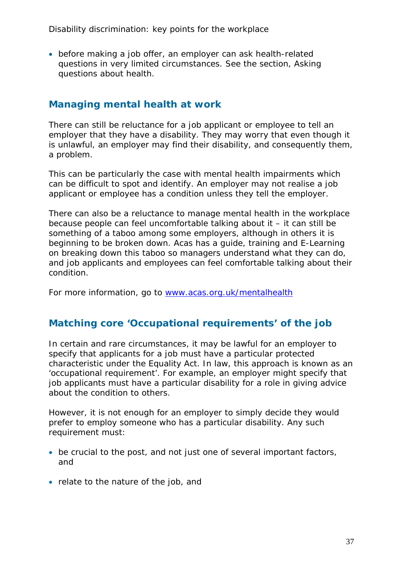• before making a job offer, an employer can ask health-related questions in very limited circumstances. See the section, Asking questions about health.

### <span id="page-36-0"></span>**Managing mental health at work**

There can still be reluctance for a job applicant or employee to tell an employer that they have a disability. They may worry that even though it is unlawful, an employer may find their disability, and consequently them, a problem.

This can be particularly the case with mental health impairments which can be difficult to spot and identify. An employer may not realise a job applicant or employee has a condition unless they tell the employer.

There can also be a reluctance to manage mental health in the workplace because people can feel uncomfortable talking about it – it can still be something of a taboo among some employers, although in others it is beginning to be broken down. Acas has a guide, training and E-Learning on breaking down this taboo so managers understand what they can do, and job applicants and employees can feel comfortable talking about their condition.

For more information, go to [www.acas.org.uk/mentalhealth](http://www.acas.org.uk/mentalhealth)

### <span id="page-36-1"></span>**Matching core 'Occupational requirements' of the job**

In certain and rare circumstances, it may be lawful for an employer to specify that applicants for a job must have a particular protected characteristic under the Equality Act. In law, this approach is known as an 'occupational requirement'. For example, an employer might specify that job applicants must have a particular disability for a role in giving advice about the condition to others.

However, it is not enough for an employer to simply decide they would prefer to employ someone who has a particular disability. Any such requirement must:

- be crucial to the post, and not just one of several important factors, and
- relate to the nature of the job, and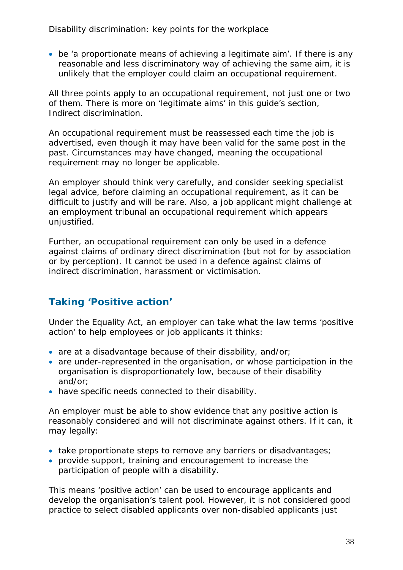• be 'a proportionate means of achieving a legitimate aim'. If there is any reasonable and less discriminatory way of achieving the same aim, it is unlikely that the employer could claim an occupational requirement.

All three points apply to an occupational requirement, not just one or two of them. There is more on 'legitimate aims' in this guide's section, Indirect discrimination.

An occupational requirement must be reassessed each time the job is advertised, even though it may have been valid for the same post in the past. Circumstances may have changed, meaning the occupational requirement may no longer be applicable.

An employer should think very carefully, and consider seeking specialist legal advice, before claiming an occupational requirement, as it can be difficult to justify and will be rare. Also, a job applicant might challenge at an employment tribunal an occupational requirement which appears unjustified.

Further, an occupational requirement can only be used in a defence against claims of ordinary direct discrimination (but not for by association or by perception). It cannot be used in a defence against claims of indirect discrimination, harassment or victimisation.

### <span id="page-37-0"></span>**Taking 'Positive action'**

Under the Equality Act, an employer can take what the law terms 'positive action' to help employees or job applicants it thinks:

- are at a disadvantage because of their disability, and/or;
- are under-represented in the organisation, or whose participation in the organisation is disproportionately low, because of their disability and/or;
- have specific needs connected to their disability.

An employer must be able to show evidence that any positive action is reasonably considered and will not discriminate against others. If it can, it may legally:

- take proportionate steps to remove any barriers or disadvantages;
- provide support, training and encouragement to increase the participation of people with a disability.

This means 'positive action' can be used to encourage applicants and develop the organisation's talent pool. However, it is not considered good practice to select disabled applicants over non-disabled applicants just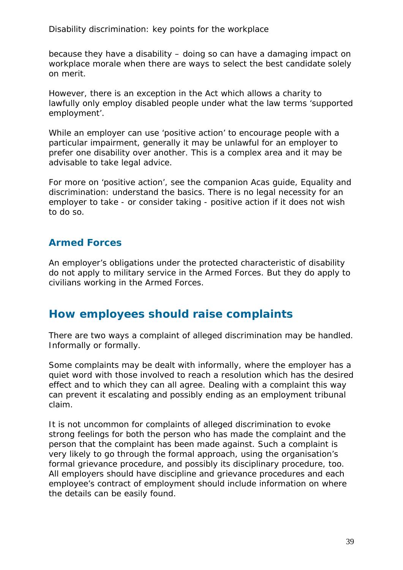because they have a disability – doing so can have a damaging impact on workplace morale when there are ways to select the best candidate solely on merit.

However, there is an exception in the Act which allows a charity to lawfully only employ disabled people under what the law terms 'supported employment'.

While an employer can use 'positive action' to encourage people with a particular impairment, generally it may be unlawful for an employer to prefer one disability over another. This is a complex area and it may be advisable to take legal advice.

For more on 'positive action', see the companion Acas guide, Equality and discrimination: understand the basics. There is no legal necessity for an employer to take - or consider taking - positive action if it does not wish to do so.

### <span id="page-38-0"></span>**Armed Forces**

An employer's obligations under the protected characteristic of disability do not apply to military service in the Armed Forces. But they do apply to civilians working in the Armed Forces.

### <span id="page-38-1"></span>**How employees should raise complaints**

There are two ways a complaint of alleged discrimination may be handled. Informally or formally.

Some complaints may be dealt with informally, where the employer has a quiet word with those involved to reach a resolution which has the desired effect and to which they can all agree. Dealing with a complaint this way can prevent it escalating and possibly ending as an employment tribunal claim.

It is not uncommon for complaints of alleged discrimination to evoke strong feelings for both the person who has made the complaint and the person that the complaint has been made against. Such a complaint is very likely to go through the formal approach, using the organisation's formal grievance procedure, and possibly its disciplinary procedure, too. All employers should have discipline and grievance procedures and each employee's contract of employment should include information on where the details can be easily found.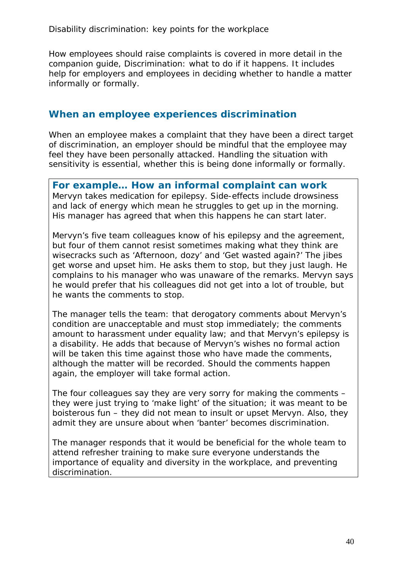How employees should raise complaints is covered in more detail in the companion guide, Discrimination: what to do if it happens. It includes help for employers and employees in deciding whether to handle a matter informally or formally.

### <span id="page-39-0"></span>**When an employee experiences discrimination**

When an employee makes a complaint that they have been a direct target of discrimination, an employer should be mindful that the employee may feel they have been personally attacked. Handling the situation with sensitivity is essential, whether this is being done informally or formally.

**For example… How an informal complaint can work** Mervyn takes medication for epilepsy. Side-effects include drowsiness and lack of energy which mean he struggles to get up in the morning. His manager has agreed that when this happens he can start later.

Mervyn's five team colleagues know of his epilepsy and the agreement, but four of them cannot resist sometimes making what they think are wisecracks such as 'Afternoon, dozy' and 'Get wasted again?' The jibes get worse and upset him. He asks them to stop, but they just laugh. He complains to his manager who was unaware of the remarks. Mervyn says he would prefer that his colleagues did not get into a lot of trouble, but he wants the comments to stop.

The manager tells the team: that derogatory comments about Mervyn's condition are unacceptable and must stop immediately; the comments amount to harassment under equality law; and that Mervyn's epilepsy is a disability. He adds that because of Mervyn's wishes no formal action will be taken this time against those who have made the comments, although the matter will be recorded. Should the comments happen again, the employer will take formal action.

The four colleagues say they are very sorry for making the comments – they were just trying to 'make light' of the situation; it was meant to be boisterous fun – they did not mean to insult or upset Mervyn. Also, they admit they are unsure about when 'banter' becomes discrimination.

The manager responds that it would be beneficial for the whole team to attend refresher training to make sure everyone understands the importance of equality and diversity in the workplace, and preventing discrimination.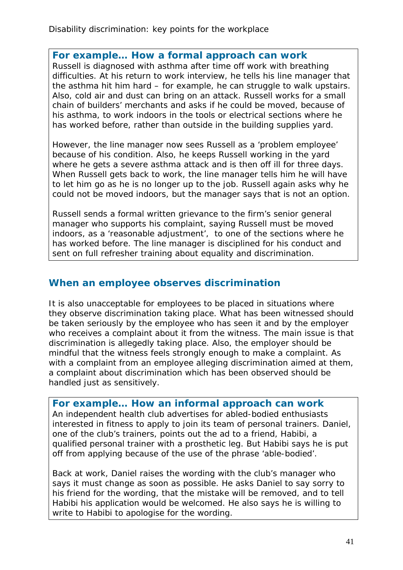### **For example… How a formal approach can work**

Russell is diagnosed with asthma after time off work with breathing difficulties. At his return to work interview, he tells his line manager that the asthma hit him hard – for example, he can struggle to walk upstairs. Also, cold air and dust can bring on an attack. Russell works for a small chain of builders' merchants and asks if he could be moved, because of his asthma, to work indoors in the tools or electrical sections where he has worked before, rather than outside in the building supplies yard.

However, the line manager now sees Russell as a 'problem employee' because of his condition. Also, he keeps Russell working in the yard where he gets a severe asthma attack and is then off ill for three days. When Russell gets back to work, the line manager tells him he will have to let him go as he is no longer up to the job. Russell again asks why he could not be moved indoors, but the manager says that is not an option.

Russell sends a formal written grievance to the firm's senior general manager who supports his complaint, saying Russell must be moved indoors, as a 'reasonable adjustment', to one of the sections where he has worked before. The line manager is disciplined for his conduct and sent on full refresher training about equality and discrimination.

### <span id="page-40-0"></span>**When an employee observes discrimination**

It is also unacceptable for employees to be placed in situations where they observe discrimination taking place. What has been witnessed should be taken seriously by the employee who has seen it and by the employer who receives a complaint about it from the witness. The main issue is that discrimination is allegedly taking place. Also, the employer should be mindful that the witness feels strongly enough to make a complaint. As with a complaint from an employee alleging discrimination aimed at them, a complaint about discrimination which has been observed should be handled just as sensitively.

#### **For example… How an informal approach can work**

An independent health club advertises for abled-bodied enthusiasts interested in fitness to apply to join its team of personal trainers. Daniel, one of the club's trainers, points out the ad to a friend, Habibi, a qualified personal trainer with a prosthetic leg. But Habibi says he is put off from applying because of the use of the phrase 'able-bodied'.

Back at work, Daniel raises the wording with the club's manager who says it must change as soon as possible. He asks Daniel to say sorry to his friend for the wording, that the mistake will be removed, and to tell Habibi his application would be welcomed. He also says he is willing to write to Habibi to apologise for the wording.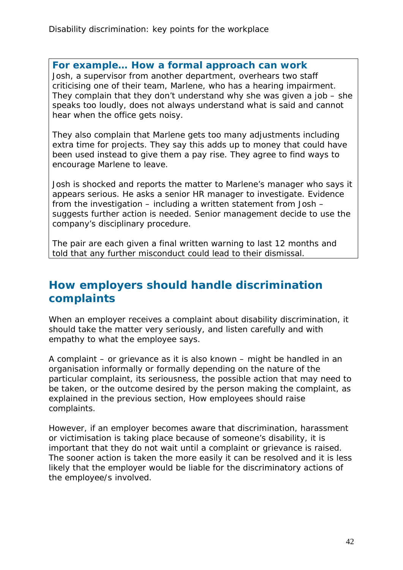#### **For example… How a formal approach can work**

Josh, a supervisor from another department, overhears two staff criticising one of their team, Marlene, who has a hearing impairment. They complain that they don't understand why she was given a job – she speaks too loudly, does not always understand what is said and cannot hear when the office gets noisy.

They also complain that Marlene gets too many adjustments including extra time for projects. They say this adds up to money that could have been used instead to give them a pay rise. They agree to find ways to encourage Marlene to leave.

Josh is shocked and reports the matter to Marlene's manager who says it appears serious. He asks a senior HR manager to investigate. Evidence from the investigation – including a written statement from Josh – suggests further action is needed. Senior management decide to use the company's disciplinary procedure.

The pair are each given a final written warning to last 12 months and told that any further misconduct could lead to their dismissal.

### <span id="page-41-0"></span>**How employers should handle discrimination complaints**

When an employer receives a complaint about disability discrimination, it should take the matter very seriously, and listen carefully and with empathy to what the employee says.

A complaint – or grievance as it is also known – might be handled in an organisation informally or formally depending on the nature of the particular complaint, its seriousness, the possible action that may need to be taken, or the outcome desired by the person making the complaint, as explained in the previous section, How employees should raise complaints.

However, if an employer becomes aware that discrimination, harassment or victimisation is taking place because of someone's disability, it is important that they do not wait until a complaint or grievance is raised. The sooner action is taken the more easily it can be resolved and it is less likely that the employer would be liable for the discriminatory actions of the employee/s involved.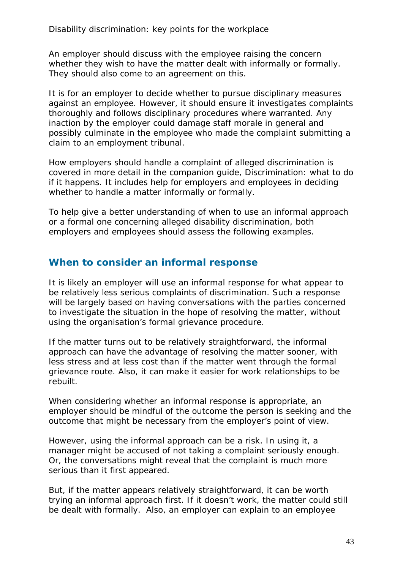An employer should discuss with the employee raising the concern whether they wish to have the matter dealt with informally or formally. They should also come to an agreement on this.

It is for an employer to decide whether to pursue disciplinary measures against an employee. However, it should ensure it investigates complaints thoroughly and follows disciplinary procedures where warranted. Any inaction by the employer could damage staff morale in general and possibly culminate in the employee who made the complaint submitting a claim to an employment tribunal.

How employers should handle a complaint of alleged discrimination is covered in more detail in the companion guide, Discrimination: what to do if it happens. It includes help for employers and employees in deciding whether to handle a matter informally or formally.

To help give a better understanding of when to use an informal approach or a formal one concerning alleged disability discrimination, both employers and employees should assess the following examples.

### <span id="page-42-0"></span>**When to consider an informal response**

It is likely an employer will use an informal response for what appear to be relatively less serious complaints of discrimination. Such a response will be largely based on having conversations with the parties concerned to investigate the situation in the hope of resolving the matter, without using the organisation's formal grievance procedure.

If the matter turns out to be relatively straightforward, the informal approach can have the advantage of resolving the matter sooner, with less stress and at less cost than if the matter went through the formal grievance route. Also, it can make it easier for work relationships to be rebuilt.

When considering whether an informal response is appropriate, an employer should be mindful of the outcome the person is seeking and the outcome that might be necessary from the employer's point of view.

However, using the informal approach can be a risk. In using it, a manager might be accused of not taking a complaint seriously enough. Or, the conversations might reveal that the complaint is much more serious than it first appeared.

But, if the matter appears relatively straightforward, it can be worth trying an informal approach first. If it doesn't work, the matter could still be dealt with formally. Also, an employer can explain to an employee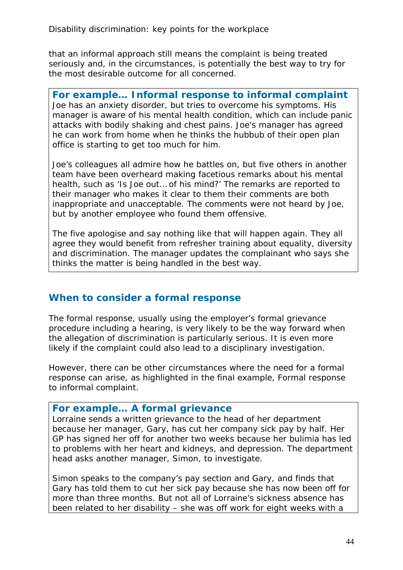that an informal approach still means the complaint is being treated seriously and, in the circumstances, is potentially the best way to try for the most desirable outcome for all concerned.

**For example… Informal response to informal complaint** Joe has an anxiety disorder, but tries to overcome his symptoms. His manager is aware of his mental health condition, which can include panic attacks with bodily shaking and chest pains. Joe's manager has agreed he can work from home when he thinks the hubbub of their open plan office is starting to get too much for him.

Joe's colleagues all admire how he battles on, but five others in another team have been overheard making facetious remarks about his mental health, such as 'Is Joe out… of his mind?' The remarks are reported to their manager who makes it clear to them their comments are both inappropriate and unacceptable. The comments were not heard by Joe, but by another employee who found them offensive.

The five apologise and say nothing like that will happen again. They all agree they would benefit from refresher training about equality, diversity and discrimination. The manager updates the complainant who says she thinks the matter is being handled in the best way.

### <span id="page-43-0"></span>**When to consider a formal response**

The formal response, usually using the employer's formal grievance procedure including a hearing, is very likely to be the way forward when the allegation of discrimination is particularly serious. It is even more likely if the complaint could also lead to a disciplinary investigation.

However, there can be other circumstances where the need for a formal response can arise, as highlighted in the final example, Formal response to informal complaint.

#### **For example… A formal grievance**

Lorraine sends a written grievance to the head of her department because her manager, Gary, has cut her company sick pay by half. Her GP has signed her off for another two weeks because her bulimia has led to problems with her heart and kidneys, and depression. The department head asks another manager, Simon, to investigate.

Simon speaks to the company's pay section and Gary, and finds that Gary has told them to cut her sick pay because she has now been off for more than three months. But not all of Lorraine's sickness absence has been related to her disability – she was off work for eight weeks with a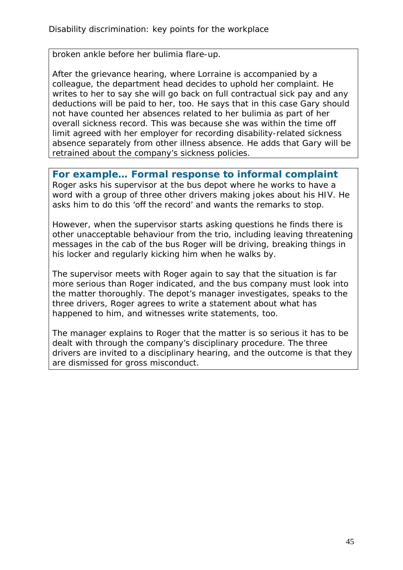broken ankle before her bulimia flare-up.

After the grievance hearing, where Lorraine is accompanied by a colleague, the department head decides to uphold her complaint. He writes to her to say she will go back on full contractual sick pay and any deductions will be paid to her, too. He says that in this case Gary should not have counted her absences related to her bulimia as part of her overall sickness record. This was because she was within the time off limit agreed with her employer for recording disability-related sickness absence separately from other illness absence. He adds that Gary will be retrained about the company's sickness policies.

**For example… Formal response to informal complaint** Roger asks his supervisor at the bus depot where he works to have a word with a group of three other drivers making jokes about his HIV. He asks him to do this 'off the record' and wants the remarks to stop.

However, when the supervisor starts asking questions he finds there is other unacceptable behaviour from the trio, including leaving threatening messages in the cab of the bus Roger will be driving, breaking things in his locker and regularly kicking him when he walks by.

The supervisor meets with Roger again to say that the situation is far more serious than Roger indicated, and the bus company must look into the matter thoroughly. The depot's manager investigates, speaks to the three drivers, Roger agrees to write a statement about what has happened to him, and witnesses write statements, too.

<span id="page-44-0"></span>The manager explains to Roger that the matter is so serious it has to be dealt with through the company's disciplinary procedure. The three drivers are invited to a disciplinary hearing, and the outcome is that they are dismissed for gross misconduct.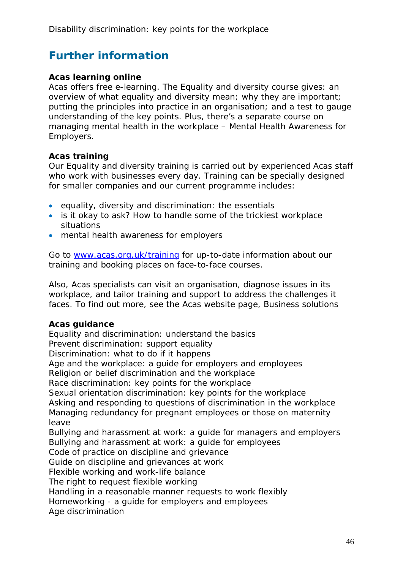# **Further information**

#### **Acas learning online**

Acas offers free e-learning. The Equality and diversity course gives: an overview of what equality and diversity mean; why they are important; putting the principles into practice in an organisation; and a test to gauge understanding of the key points. Plus, there's a separate course on managing mental health in the workplace – Mental Health Awareness for Employers.

#### **Acas training**

Our Equality and diversity training is carried out by experienced Acas staff who work with businesses every day. Training can be specially designed for smaller companies and our current programme includes:

- equality, diversity and discrimination: the essentials
- is it okay to ask? How to handle some of the trickiest workplace situations
- mental health awareness for employers

Go to [www.acas.org.uk/training](http://www.acas.org.uk/training) for up-to-date information about our training and booking places on face-to-face courses.

Also, Acas specialists can visit an organisation, diagnose issues in its workplace, and tailor training and support to address the challenges it faces. To find out more, see the Acas website page, Business solutions

#### **Acas guidance**

Equality and discrimination: understand the basics Prevent discrimination: support equality Discrimination: what to do if it happens Age and the workplace: a guide for employers and employees Religion or belief discrimination and the workplace Race discrimination: key points for the workplace Sexual orientation discrimination: key points for the workplace Asking and responding to questions of discrimination in the workplace Managing redundancy for pregnant employees or those on maternity leave Bullying and harassment at work: a guide for managers and employers Bullying and harassment at work: a guide for employees Code of practice on discipline and grievance Guide on discipline and grievances at work Flexible working and work-life balance The right to request flexible working Handling in a reasonable manner requests to work flexibly Homeworking - a guide for employers and employees Age discrimination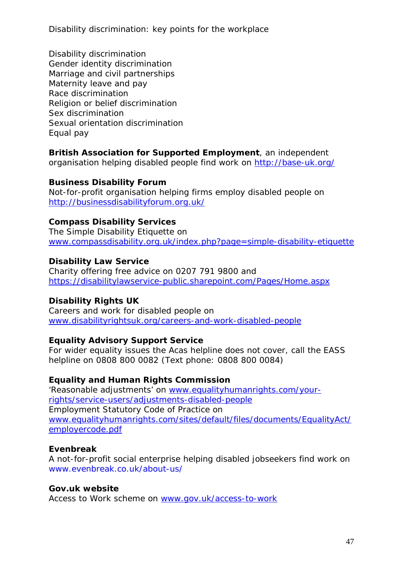Disability discrimination Gender identity discrimination Marriage and civil partnerships Maternity leave and pay Race discrimination Religion or belief discrimination Sex discrimination Sexual orientation discrimination Equal pay

#### **British Association for Supported Employment**, an independent organisation helping disabled people find work on<http://base-uk.org/>

#### **Business Disability Forum**

Not-for-profit organisation helping firms employ disabled people on <http://businessdisabilityforum.org.uk/>

#### **Compass Disability Services**

The Simple Disability Etiquette on [www.compassdisability.org.uk/index.php?page=simple-disability-etiquette](http://www.compassdisability.org.uk/index.php?page=simple-disability-etiquette)

#### **Disability Law Service**

Charity offering free advice on 0207 791 9800 and <https://disabilitylawservice-public.sharepoint.com/Pages/Home.aspx>

#### **Disability Rights UK**

Careers and work for disabled people on [www.disabilityrightsuk.org/careers-and-work-disabled-people](http://www.disabilityrightsuk.org/careers-and-work-disabled-people)

#### **Equality Advisory Support Service**

For wider equality issues the Acas helpline does not cover, call the EASS helpline on 0808 800 0082 (Text phone: 0808 800 0084)

#### **Equality and Human Rights Commission**

'Reasonable adjustments' on [www.equalityhumanrights.com/your](http://www.equalityhumanrights.com/your-rights/service-users/adjustments-disabled-people)[rights/service-users/adjustments-disabled-people](http://www.equalityhumanrights.com/your-rights/service-users/adjustments-disabled-people) Employment Statutory Code of Practice on www.equalityhumanrights.com/sites/default/files/documents/EqualityAct/ employercode.pdf

#### **Evenbreak**

A not-for-profit social enterprise helping disabled jobseekers find work on [www.evenbreak.co.uk/about-us/](http://www.evenbreak.co.uk/about-us/)

#### **Gov.uk website**

Access to Work scheme on [www.gov.uk/access-to-work](http://www.gov.uk/access-to-work)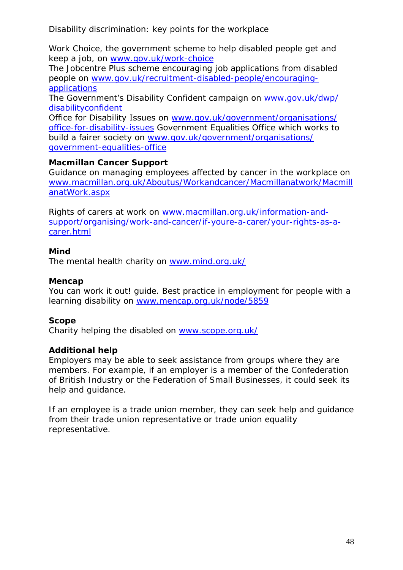Work Choice, the government scheme to help disabled people get and keep a job, on [www.gov.uk/work-choice](http://www.gov.uk/work-choice)

The Jobcentre Plus scheme encouraging job applications from disabled people on [www.gov.uk/recruitment-disabled-people/encouraging](http://www.gov.uk/recruitment-disabled-people/encouraging-applications)[applications](http://www.gov.uk/recruitment-disabled-people/encouraging-applications)

The Government's Disability Confident campaign on [www.gov.uk/dwp/](www.gov.uk/dwp/disabilityconfident) [disabilityconfident](www.gov.uk/dwp/disabilityconfident)

Office for Disability Issues on [www.gov.uk/government/organisations/](http://www.gov.uk/government/organisations/office-for-disability-issues) office-for-disability-issues Government Equalities Office which works to build a fairer society on [www.gov.uk/government/organisations/](http://www.gov.uk/government/organisations/government-equalities-office) [government-equalities-office](http://www.gov.uk/government/organisations/government-equalities-office)

### **Macmillan Cancer Support**

Guidance on managing employees affected by cancer in the workplace on [www.macmillan.org.uk/Aboutus/Workandcancer/Macmillanatwork/Macmill](http://www.macmillan.org.uk/Aboutus/Workandcancer/Macmillanatwork/MacmillanatWork.aspx) [anatWork.aspx](http://www.macmillan.org.uk/Aboutus/Workandcancer/Macmillanatwork/MacmillanatWork.aspx)

Rights of carers at work on [www.macmillan.org.uk/information-and](http://www.macmillan.org.uk/information-and-support/organising/work-and-cancer/if-youre-a-carer/your-rights-as-a-carer.html)[support/organising/work-and-cancer/if-youre-a-carer/your-rights-as-a](http://www.macmillan.org.uk/information-and-support/organising/work-and-cancer/if-youre-a-carer/your-rights-as-a-carer.html)[carer.html](http://www.macmillan.org.uk/information-and-support/organising/work-and-cancer/if-youre-a-carer/your-rights-as-a-carer.html)

#### **Mind**

The mental health charity on [www.mind.org.uk/](http://www.mind.org.uk/)

### **Mencap**

You can work it out! guide. Best practice in employment for people with a learning disability on [www.mencap.org.uk/node/5859](http://www.mencap.org.uk/node/5859)

### **Scope**

Charity helping the disabled on [www.scope.org.uk/](http://www.scope.org.uk/)

#### **Additional help**

Employers may be able to seek assistance from groups where they are members. For example, if an employer is a member of the Confederation of British Industry or the Federation of Small Businesses, it could seek its help and guidance.

If an employee is a trade union member, they can seek help and guidance from their trade union representative or trade union equality representative.